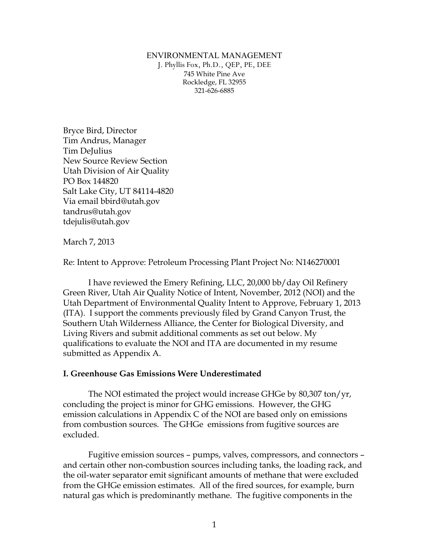ENVIRONMENTAL MANAGEMENT J. Phyllis Fox, Ph.D., QEP, PE, DEE 745 White Pine Ave Rockledge, FL 32955 321-626-6885

Bryce Bird, Director Tim Andrus, Manager Tim DeJulius New Source Review Section Utah Division of Air Quality PO Box 144820 Salt Lake City, UT 84114-4820 Via email bbird@utah.gov tandrus@utah.gov tdejulis@utah.gov

March 7, 2013

Re: Intent to Approve: Petroleum Processing Plant Project No: N146270001

I have reviewed the Emery Refining, LLC, 20,000 bb/day Oil Refinery Green River, Utah Air Quality Notice of Intent, November, 2012 (NOI) and the Utah Department of Environmental Quality Intent to Approve, February 1, 2013 (ITA). I support the comments previously filed by Grand Canyon Trust, the Southern Utah Wilderness Alliance, the Center for Biological Diversity, and Living Rivers and submit additional comments as set out below. My qualifications to evaluate the NOI and ITA are documented in my resume submitted as Appendix A.

#### **I. Greenhouse Gas Emissions Were Underestimated**

The NOI estimated the project would increase GHGe by 80,307 ton/yr, concluding the project is minor for GHG emissions. However, the GHG emission calculations in Appendix C of the NOI are based only on emissions from combustion sources. The GHGe emissions from fugitive sources are excluded.

Fugitive emission sources – pumps, valves, compressors, and connectors – and certain other non-combustion sources including tanks, the loading rack, and the oil-water separator emit significant amounts of methane that were excluded from the GHGe emission estimates. All of the fired sources, for example, burn natural gas which is predominantly methane. The fugitive components in the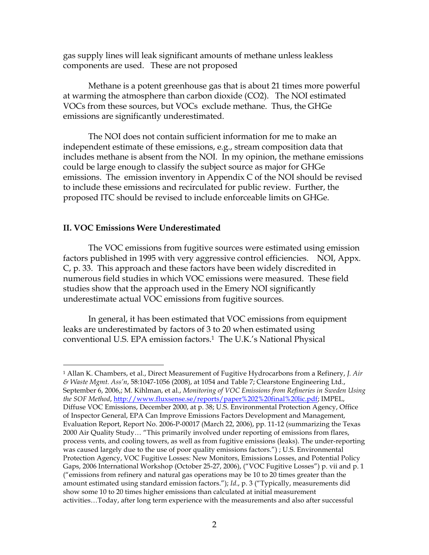gas supply lines will leak significant amounts of methane unless leakless components are used. These are not proposed

Methane is a potent greenhouse gas that is about 21 times more powerful at warming the atmosphere than carbon dioxide (CO2). The NOI estimated VOCs from these sources, but VOCs exclude methane. Thus, the GHGe emissions are significantly underestimated.

The NOI does not contain sufficient information for me to make an independent estimate of these emissions, e.g., stream composition data that includes methane is absent from the NOI. In my opinion, the methane emissions could be large enough to classify the subject source as major for GHGe emissions. The emission inventory in Appendix C of the NOI should be revised to include these emissions and recirculated for public review. Further, the proposed ITC should be revised to include enforceable limits on GHGe.

#### **II. VOC Emissions Were Underestimated**

The VOC emissions from fugitive sources were estimated using emission factors published in 1995 with very aggressive control efficiencies. NOI, Appx. C, p. 33. This approach and these factors have been widely discredited in numerous field studies in which VOC emissions were measured. These field studies show that the approach used in the Emery NOI significantly underestimate actual VOC emissions from fugitive sources.

In general, it has been estimated that VOC emissions from equipment leaks are underestimated by factors of 3 to 20 when estimated using conventional U.S. EPA emission factors.1 The U.K.'s National Physical

 <sup>1</sup> Allan K. Chambers, et al., Direct Measurement of Fugitive Hydrocarbons from a Refinery, *J. Air & Waste Mgmt. Ass'n*, 58:1047-1056 (2008), at 1054 and Table 7; Clearstone Engineering Ltd., September 6, 2006,; M. Kihlman, et al., *Monitoring of VOC Emissions from Refineries in Sweden Using the SOF Method*, http://www.fluxsense.se/reports/paper%202%20final%20lic.pdf; IMPEL, Diffuse VOC Emissions, December 2000, at p. 38; U.S. Environmental Protection Agency, Office of Inspector General, EPA Can Improve Emissions Factors Development and Management, Evaluation Report, Report No. 2006-P-00017 (March 22, 2006), pp. 11-12 (summarizing the Texas 2000 Air Quality Study… "This primarily involved under reporting of emissions from flares, process vents, and cooling towers, as well as from fugitive emissions (leaks). The under-reporting was caused largely due to the use of poor quality emissions factors.") ; U.S. Environmental Protection Agency, VOC Fugitive Losses: New Monitors, Emissions Losses, and Potential Policy Gaps, 2006 International Workshop (October 25-27, 2006), ("VOC Fugitive Losses") p. vii and p. 1 ("emissions from refinery and natural gas operations may be 10 to 20 times greater than the amount estimated using standard emission factors."); *Id*., p. 3 ("Typically, measurements did show some 10 to 20 times higher emissions than calculated at initial measurement activities…Today, after long term experience with the measurements and also after successful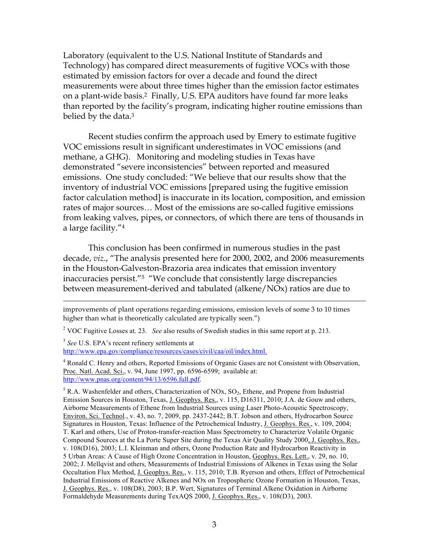Laboratory (equivalent to the U.S. National Institute of Standards and Technology) has compared direct measurements of fugitive VOCs with those estimated by emission factors for over a decade and found the direct measurements were about three times higher than the emission factor estimates on a plant-wide basis.2 Finally, U.S. EPA auditors have found far more leaks than reported by the facility's program, indicating higher routine emissions than belied by the data.3

Recent studies confirm the approach used by Emery to estimate fugitive VOC emissions result in significant underestimates in VOC emissions (and methane, a GHG). Monitoring and modeling studies in Texas have demonstrated "severe inconsistencies" between reported and measured emissions. One study concluded: "We believe that our results show that the inventory of industrial VOC emissions [prepared using the fugitive emission factor calculation method] is inaccurate in its location, composition, and emission rates of major sources… Most of the emissions are so-called fugitive emissions from leaking valves, pipes, or connectors, of which there are tens of thousands in a large facility."4

This conclusion has been confirmed in numerous studies in the past decade, *viz*., "The analysis presented here for 2000, 2002, and 2006 measurements in the Houston-Galveston-Brazoria area indicates that emission inventory inaccuracies persist."5 "We conclude that consistently large discrepancies between measurement-derived and tabulated (alkene/NOx) ratios are due to

 $\overline{a}$ 

improvements of plant operations regarding emissions, emission levels of some 3 to 10 times higher than what is theoretically calculated are typically seen.")

<sup>2</sup> VOC Fugitive Losses at. 23. *See* also results of Swedish studies in this same report at p. 213.

<sup>3</sup> *See* U.S. EPA's recent refinery settlements at http://www.epa.gov/compliance/resources/cases/civil/caa/oil/index.html.

<sup>&</sup>lt;sup>4</sup> Ronald C. Henry and others, Reported Emissions of Organic Gases are not Consistent with Observation, Proc. Natl. Acad. Sci., v. 94, June 1997, pp. 6596-6599; available at: http://www.pnas.org/content/94/13/6596.full.pdf.

 $<sup>5</sup>$  R.A. Washenfelder and others, Characterization of NOx, SO<sub>2</sub>, Ethene, and Propene from Industrial</sup> Emission Sources in Houston, Texas, J. Geophys. Res., v. 115, D16311, 2010; J.A. de Gouw and others, Airborne Measurements of Ethene from Industrial Sources using Laser Photo-Acoustic Spectroscopy, Environ. Sci. Technol., v. 43, no. 7, 2009, pp. 2437-2442; B.T. Jobson and others, Hydrocarbon Source Signatures in Houston, Texas: Influence of the Petrochemical Industry, J. Geophys. Res., v. 109, 2004; T. Karl and others, Use of Proton-transfer-reaction Mass Spectrometry to Characterize Volatile Organic Compound Sources at the La Porte Super Site during the Texas Air Quality Study 2000, J. Geophys. Res., v. 108(D16), 2003; L.I. Kleinman and others, Ozone Production Rate and Hydrocarbon Reactivity in 5 Urban Areas: A Cause of High Ozone Concentration in Houston, Geophys. Res. Lett., v. 29, no. 10, 2002; J. Mellqvist and others, Measurements of Industrial Emissions of Alkenes in Texas using the Solar Occultation Flux Method, J. Geophys. Res., v. 115, 2010; T.B. Ryerson and others, Effect of Petrochemical Industrial Emissions of Reactive Alkenes and NOx on Tropospheric Ozone Formation in Houston, Texas, J. Geophys. Res., v. 108(D8), 2003; B.P. Wert, Signatures of Terminal Alkene Oxidation in Airborne Formaldehyde Measurements during TexAQS 2000, J. Geophys. Res., v. 108(D3), 2003.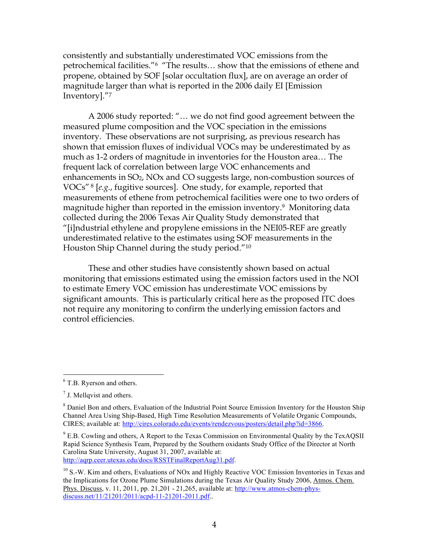consistently and substantially underestimated VOC emissions from the petrochemical facilities."6 "The results… show that the emissions of ethene and propene, obtained by SOF [solar occultation flux], are on average an order of magnitude larger than what is reported in the 2006 daily EI [Emission Inventory]."7

A 2006 study reported: "… we do not find good agreement between the measured plume composition and the VOC speciation in the emissions inventory. These observations are not surprising, as previous research has shown that emission fluxes of individual VOCs may be underestimated by as much as 1-2 orders of magnitude in inventories for the Houston area… The frequent lack of correlation between large VOC enhancements and enhancements in  $SO_2$ , NOx and CO suggests large, non-combustion sources of VOCs" 8 [*e.g.*, fugitive sources]. One study, for example, reported that measurements of ethene from petrochemical facilities were one to two orders of magnitude higher than reported in the emission inventory.9 Monitoring data collected during the 2006 Texas Air Quality Study demonstrated that "[i]ndustrial ethylene and propylene emissions in the NEI05-REF are greatly underestimated relative to the estimates using SOF measurements in the Houston Ship Channel during the study period."10

These and other studies have consistently shown based on actual monitoring that emissions estimated using the emission factors used in the NOI to estimate Emery VOC emission has underestimate VOC emissions by significant amounts. This is particularly critical here as the proposed ITC does not require any monitoring to confirm the underlying emission factors and control efficiencies.

6 <sup>6</sup> T.B. Ryerson and others.

 $<sup>7</sup>$  J. Mellqvist and others.</sup>

<sup>&</sup>lt;sup>8</sup> Daniel Bon and others, Evaluation of the Industrial Point Source Emission Inventory for the Houston Ship Channel Area Using Ship-Based, High Time Resolution Measurements of Volatile Organic Compounds, CIRES; available at: http://cires.colorado.edu/events/rendezvous/posters/detail.php?id=3866.

 $9^9$  E.B. Cowling and others, A Report to the Texas Commission on Environmental Quality by the TexAQSII Rapid Science Synthesis Team, Prepared by the Southern oxidants Study Office of the Director at North Carolina State University, August 31, 2007, available at: http://aqrp.ceer.utexas.edu/docs/RSSTFinalReportAug31.pdf.

<sup>&</sup>lt;sup>10</sup> S.-W. Kim and others, Evaluations of NOx and Highly Reactive VOC Emission Inventories in Texas and the Implications for Ozone Plume Simulations during the Texas Air Quality Study 2006, Atmos. Chem. Phys. Discuss, v. 11, 2011, pp. 21,201 - 21,265, available at: http://www.atmos-chem-physdiscuss.net/11/21201/2011/acpd-11-21201-2011.pdf..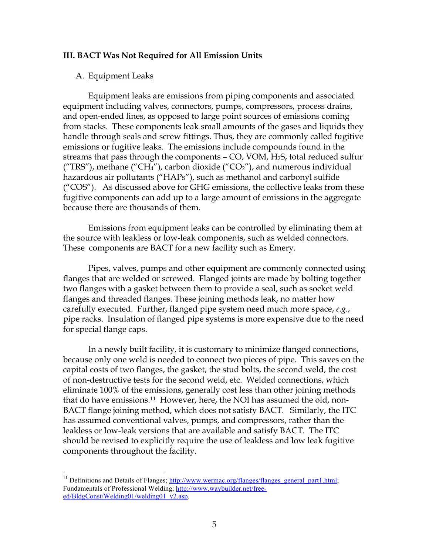#### **III. BACT Was Not Required for All Emission Units**

#### A. Equipment Leaks

Equipment leaks are emissions from piping components and associated equipment including valves, connectors, pumps, compressors, process drains, and open-ended lines, as opposed to large point sources of emissions coming from stacks. These components leak small amounts of the gases and liquids they handle through seals and screw fittings. Thus, they are commonly called fugitive emissions or fugitive leaks. The emissions include compounds found in the streams that pass through the components – CO, VOM, H2S, total reduced sulfur ("TRS"), methane ("CH<sub>4</sub>"), carbon dioxide ("CO<sub>2</sub>"), and numerous individual hazardous air pollutants ("HAPs"), such as methanol and carbonyl sulfide ("COS"). As discussed above for GHG emissions, the collective leaks from these fugitive components can add up to a large amount of emissions in the aggregate because there are thousands of them.

Emissions from equipment leaks can be controlled by eliminating them at the source with leakless or low-leak components, such as welded connectors. These components are BACT for a new facility such as Emery.

Pipes, valves, pumps and other equipment are commonly connected using flanges that are welded or screwed. Flanged joints are made by bolting together two flanges with a gasket between them to provide a seal, such as socket weld flanges and threaded flanges. These joining methods leak, no matter how carefully executed. Further, flanged pipe system need much more space, *e.g.*, pipe racks. Insulation of flanged pipe systems is more expensive due to the need for special flange caps.

In a newly built facility, it is customary to minimize flanged connections, because only one weld is needed to connect two pieces of pipe. This saves on the capital costs of two flanges, the gasket, the stud bolts, the second weld, the cost of non-destructive tests for the second weld, etc. Welded connections, which eliminate 100% of the emissions, generally cost less than other joining methods that do have emissions.11 However, here, the NOI has assumed the old, non-BACT flange joining method, which does not satisfy BACT. Similarly, the ITC has assumed conventional valves, pumps, and compressors, rather than the leakless or low-leak versions that are available and satisfy BACT. The ITC should be revised to explicitly require the use of leakless and low leak fugitive components throughout the facility.

<sup>&</sup>lt;sup>11</sup> Definitions and Details of Flanges; http://www.wermac.org/flanges/flanges\_general\_part1.html; Fundamentals of Professional Welding; http://www.waybuilder.net/freeed/BldgConst/Welding01/welding01\_v2.asp.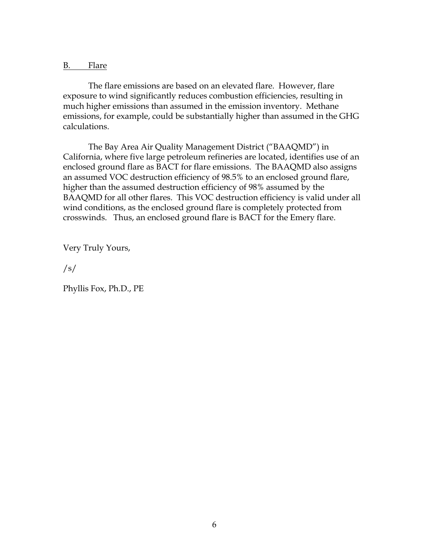B. Flare

The flare emissions are based on an elevated flare. However, flare exposure to wind significantly reduces combustion efficiencies, resulting in much higher emissions than assumed in the emission inventory. Methane emissions, for example, could be substantially higher than assumed in the GHG calculations.

The Bay Area Air Quality Management District ("BAAQMD") in California, where five large petroleum refineries are located, identifies use of an enclosed ground flare as BACT for flare emissions. The BAAQMD also assigns an assumed VOC destruction efficiency of 98.5% to an enclosed ground flare, higher than the assumed destruction efficiency of 98% assumed by the BAAQMD for all other flares. This VOC destruction efficiency is valid under all wind conditions, as the enclosed ground flare is completely protected from crosswinds. Thus, an enclosed ground flare is BACT for the Emery flare.

Very Truly Yours,

/s/

Phyllis Fox, Ph.D., PE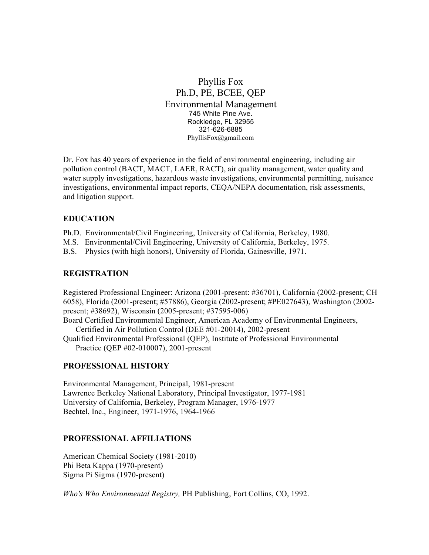### Phyllis Fox Ph.D, PE, BCEE, QEP Environmental Management 745 White Pine Ave. Rockledge, FL 32955 321-626-6885 PhyllisFox@gmail.com

Dr. Fox has 40 years of experience in the field of environmental engineering, including air pollution control (BACT, MACT, LAER, RACT), air quality management, water quality and water supply investigations, hazardous waste investigations, environmental permitting, nuisance investigations, environmental impact reports, CEQA/NEPA documentation, risk assessments, and litigation support.

### **EDUCATION**

Ph.D. Environmental/Civil Engineering, University of California, Berkeley, 1980.

M.S. Environmental/Civil Engineering, University of California, Berkeley, 1975.

B.S. Physics (with high honors), University of Florida, Gainesville, 1971.

### **REGISTRATION**

Registered Professional Engineer: Arizona (2001-present: #36701), California (2002-present; CH 6058), Florida (2001-present; #57886), Georgia (2002-present; #PE027643), Washington (2002 present; #38692), Wisconsin (2005-present; #37595-006)

Board Certified Environmental Engineer, American Academy of Environmental Engineers,

Certified in Air Pollution Control (DEE #01-20014), 2002-present Qualified Environmental Professional (QEP), Institute of Professional Environmental Practice (QEP #02-010007), 2001-present

#### **PROFESSIONAL HISTORY**

Environmental Management, Principal, 1981-present Lawrence Berkeley National Laboratory, Principal Investigator, 1977-1981 University of California, Berkeley, Program Manager, 1976-1977 Bechtel, Inc., Engineer, 1971-1976, 1964-1966

#### **PROFESSIONAL AFFILIATIONS**

American Chemical Society (1981-2010) Phi Beta Kappa (1970-present) Sigma Pi Sigma (1970-present)

*Who's Who Environmental Registry,* PH Publishing, Fort Collins, CO, 1992.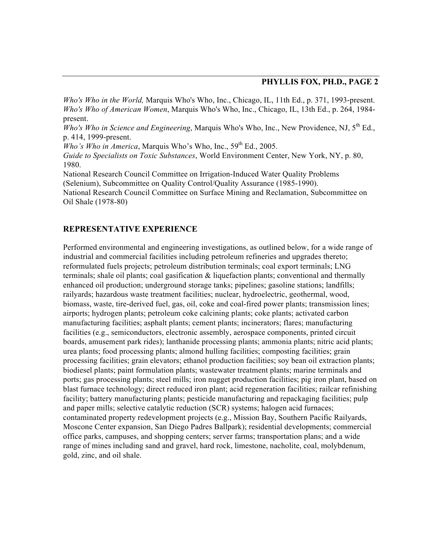*Who's Who in the World,* Marquis Who's Who, Inc., Chicago, IL, 11th Ed., p. 371, 1993-present. *Who's Who of American Women*, Marquis Who's Who, Inc., Chicago, IL, 13th Ed., p. 264, 1984 present.

*Who's Who in Science and Engineering*, Marquis Who's Who, Inc., New Providence, NJ, 5th Ed., p. 414, 1999-present.

*Who's Who in America*, Marquis Who's Who, Inc.,  $59<sup>th</sup>$  Ed., 2005.

*Guide to Specialists on Toxic Substances*, World Environment Center, New York, NY, p. 80, 1980.

National Research Council Committee on Irrigation-Induced Water Quality Problems (Selenium), Subcommittee on Quality Control/Quality Assurance (1985-1990). National Research Council Committee on Surface Mining and Reclamation, Subcommittee on Oil Shale (1978-80)

#### **REPRESENTATIVE EXPERIENCE**

Performed environmental and engineering investigations, as outlined below, for a wide range of industrial and commercial facilities including petroleum refineries and upgrades thereto; reformulated fuels projects; petroleum distribution terminals; coal export terminals; LNG terminals; shale oil plants; coal gasification & liquefaction plants; conventional and thermally enhanced oil production; underground storage tanks; pipelines; gasoline stations; landfills; railyards; hazardous waste treatment facilities; nuclear, hydroelectric, geothermal, wood, biomass, waste, tire-derived fuel, gas, oil, coke and coal-fired power plants; transmission lines; airports; hydrogen plants; petroleum coke calcining plants; coke plants; activated carbon manufacturing facilities; asphalt plants; cement plants; incinerators; flares; manufacturing facilities (e.g., semiconductors, electronic assembly, aerospace components, printed circuit boards, amusement park rides); lanthanide processing plants; ammonia plants; nitric acid plants; urea plants; food processing plants; almond hulling facilities; composting facilities; grain processing facilities; grain elevators; ethanol production facilities; soy bean oil extraction plants; biodiesel plants; paint formulation plants; wastewater treatment plants; marine terminals and ports; gas processing plants; steel mills; iron nugget production facilities; pig iron plant, based on blast furnace technology; direct reduced iron plant; acid regeneration facilities; railcar refinishing facility; battery manufacturing plants; pesticide manufacturing and repackaging facilities; pulp and paper mills; selective catalytic reduction (SCR) systems; halogen acid furnaces; contaminated property redevelopment projects (e.g., Mission Bay, Southern Pacific Railyards, Moscone Center expansion, San Diego Padres Ballpark); residential developments; commercial office parks, campuses, and shopping centers; server farms; transportation plans; and a wide range of mines including sand and gravel, hard rock, limestone, nacholite, coal, molybdenum, gold, zinc, and oil shale.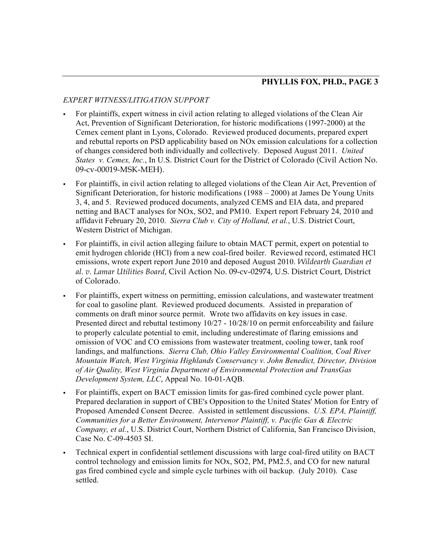### *EXPERT WITNESS/LITIGATION SUPPORT*

- For plaintiffs, expert witness in civil action relating to alleged violations of the Clean Air Act, Prevention of Significant Deterioration, for historic modifications (1997-2000) at the Cemex cement plant in Lyons, Colorado. Reviewed produced documents, prepared expert and rebuttal reports on PSD applicability based on NOx emission calculations for a collection of changes considered both individually and collectively. Deposed August 2011. *United States v. Cemex, Inc.*, In U.S. District Court for the District of Colorado (Civil Action No. 09-cv-00019-MSK-MEH).
- For plaintiffs, in civil action relating to alleged violations of the Clean Air Act, Prevention of Significant Deterioration, for historic modifications (1988 – 2000) at James De Young Units 3, 4, and 5. Reviewed produced documents, analyzed CEMS and EIA data, and prepared netting and BACT analyses for NOx, SO2, and PM10. Expert report February 24, 2010 and affidavit February 20, 2010. *Sierra Club v. City of Holland, et al.*, U.S. District Court, Western District of Michigan.
- For plaintiffs, in civil action alleging failure to obtain MACT permit, expert on potential to emit hydrogen chloride (HCl) from a new coal-fired boiler. Reviewed record, estimated HCl emissions, wrote expert report June 2010 and deposed August 2010. *Wildearth Guardian et al. v. Lamar Utilities Board*, Civil Action No. 09-cv-02974, U.S. District Court, District of Colorado.
- For plaintiffs, expert witness on permitting, emission calculations, and wastewater treatment for coal to gasoline plant. Reviewed produced documents. Assisted in preparation of comments on draft minor source permit. Wrote two affidavits on key issues in case. Presented direct and rebuttal testimony 10/27 - 10/28/10 on permit enforceability and failure to properly calculate potential to emit, including underestimate of flaring emissions and omission of VOC and CO emissions from wastewater treatment, cooling tower, tank roof landings, and malfunctions. *Sierra Club, Ohio Valley Environmental Coalition, Coal River Mountain Watch, West Virginia Highlands Conservancy v. John Benedict, Director, Division of Air Quality, West Virginia Department of Environmental Protection and TransGas Development System, LLC*, Appeal No. 10-01-AQB.
- For plaintiffs, expert on BACT emission limits for gas-fired combined cycle power plant. Prepared declaration in support of CBE's Opposition to the United States' Motion for Entry of Proposed Amended Consent Decree. Assisted in settlement discussions. *U.S. EPA, Plaintiff, Communities for a Better Environment, Intervenor Plaintiff, v. Pacific Gas & Electric Company, et al.*, U.S. District Court, Northern District of California, San Francisco Division, Case No. C-09-4503 SI.
- Technical expert in confidential settlement discussions with large coal-fired utility on BACT control technology and emission limits for NOx, SO2, PM, PM2.5, and CO for new natural gas fired combined cycle and simple cycle turbines with oil backup. (July 2010). Case settled.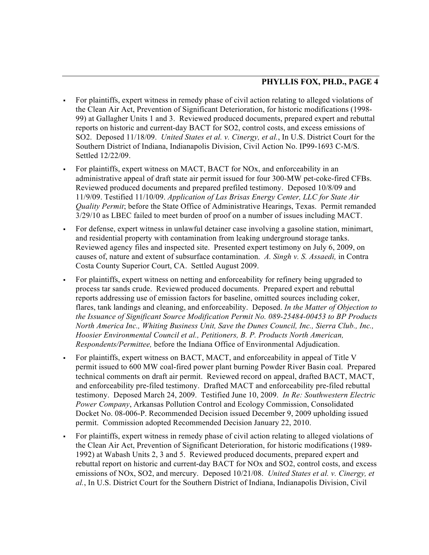- For plaintiffs, expert witness in remedy phase of civil action relating to alleged violations of the Clean Air Act, Prevention of Significant Deterioration, for historic modifications (1998- 99) at Gallagher Units 1 and 3. Reviewed produced documents, prepared expert and rebuttal reports on historic and current-day BACT for SO2, control costs, and excess emissions of SO2. Deposed 11/18/09. *United States et al. v. Cinergy, et al.*, In U.S. District Court for the Southern District of Indiana, Indianapolis Division, Civil Action No. IP99-1693 C-M/S. Settled 12/22/09.
- For plaintiffs, expert witness on MACT, BACT for NOx, and enforceability in an administrative appeal of draft state air permit issued for four 300-MW pet-coke-fired CFBs. Reviewed produced documents and prepared prefiled testimony. Deposed 10/8/09 and 11/9/09. Testified 11/10/09. *Application of Las Brisas Energy Center, LLC for State Air Quality Permit*; before the State Office of Administrative Hearings, Texas. Permit remanded 3/29/10 as LBEC failed to meet burden of proof on a number of issues including MACT.
- For defense, expert witness in unlawful detainer case involving a gasoline station, minimart, and residential property with contamination from leaking underground storage tanks. Reviewed agency files and inspected site. Presented expert testimony on July 6, 2009, on causes of, nature and extent of subsurface contamination. *A. Singh v. S. Assaedi,* in Contra Costa County Superior Court, CA. Settled August 2009.
- For plaintiffs, expert witness on netting and enforceability for refinery being upgraded to process tar sands crude. Reviewed produced documents. Prepared expert and rebuttal reports addressing use of emission factors for baseline, omitted sources including coker, flares, tank landings and cleaning, and enforceability. Deposed. *In the Matter of Objection to the Issuance of Significant Source Modification Permit No. 089-25484-00453 to BP Products North America Inc., Whiting Business Unit, Save the Dunes Council, Inc., Sierra Club., Inc., Hoosier Environmental Council et al., Petitioners, B. P. Products North American, Respondents/Permittee,* before the Indiana Office of Environmental Adjudication.
- For plaintiffs, expert witness on BACT, MACT, and enforceability in appeal of Title V permit issued to 600 MW coal-fired power plant burning Powder River Basin coal. Prepared technical comments on draft air permit. Reviewed record on appeal, drafted BACT, MACT, and enforceability pre-filed testimony. Drafted MACT and enforceability pre-filed rebuttal testimony. Deposed March 24, 2009. Testified June 10, 2009. *In Re: Southwestern Electric Power Company*, Arkansas Pollution Control and Ecology Commission, Consolidated Docket No. 08-006-P. Recommended Decision issued December 9, 2009 upholding issued permit. Commission adopted Recommended Decision January 22, 2010.
- For plaintiffs, expert witness in remedy phase of civil action relating to alleged violations of the Clean Air Act, Prevention of Significant Deterioration, for historic modifications (1989- 1992) at Wabash Units 2, 3 and 5. Reviewed produced documents, prepared expert and rebuttal report on historic and current-day BACT for NOx and SO2, control costs, and excess emissions of NOx, SO2, and mercury. Deposed 10/21/08. *United States et al. v. Cinergy, et al.*, In U.S. District Court for the Southern District of Indiana, Indianapolis Division, Civil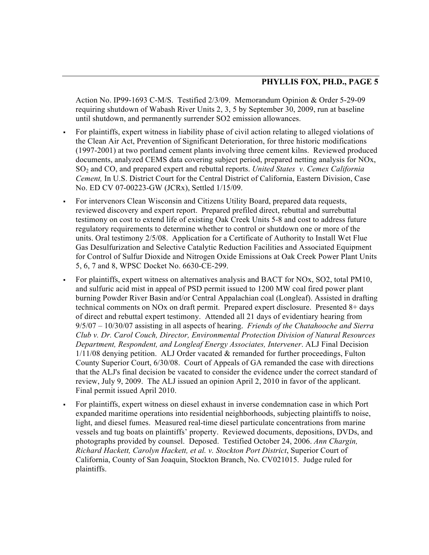Action No. IP99-1693 C-M/S. Testified 2/3/09. Memorandum Opinion & Order 5-29-09 requiring shutdown of Wabash River Units 2, 3, 5 by September 30, 2009, run at baseline until shutdown, and permanently surrender SO2 emission allowances.

- For plaintiffs, expert witness in liability phase of civil action relating to alleged violations of the Clean Air Act, Prevention of Significant Deterioration, for three historic modifications (1997-2001) at two portland cement plants involving three cement kilns. Reviewed produced documents, analyzed CEMS data covering subject period, prepared netting analysis for NOx, SO2 and CO, and prepared expert and rebuttal reports. *United States v. Cemex California Cement,* In U.S. District Court for the Central District of California, Eastern Division, Case No. ED CV 07-00223-GW (JCRx), Settled 1/15/09.
- For intervenors Clean Wisconsin and Citizens Utility Board, prepared data requests, reviewed discovery and expert report. Prepared prefiled direct, rebuttal and surrebuttal testimony on cost to extend life of existing Oak Creek Units 5-8 and cost to address future regulatory requirements to determine whether to control or shutdown one or more of the units. Oral testimony 2/5/08. Application for a Certificate of Authority to Install Wet Flue Gas Desulfurization and Selective Catalytic Reduction Facilities and Associated Equipment for Control of Sulfur Dioxide and Nitrogen Oxide Emissions at Oak Creek Power Plant Units 5, 6, 7 and 8, WPSC Docket No. 6630-CE-299.
- For plaintiffs, expert witness on alternatives analysis and BACT for NOx, SO2, total PM10, and sulfuric acid mist in appeal of PSD permit issued to 1200 MW coal fired power plant burning Powder River Basin and/or Central Appalachian coal (Longleaf). Assisted in drafting technical comments on NOx on draft permit. Prepared expert disclosure. Presented 8+ days of direct and rebuttal expert testimony. Attended all 21 days of evidentiary hearing from 9/5/07 – 10/30/07 assisting in all aspects of hearing. *Friends of the Chatahooche and Sierra Club v. Dr. Carol Couch, Director, Environmental Protection Division of Natural Resources Department, Respondent, and Longleaf Energy Associates, Intervener*. ALJ Final Decision 1/11/08 denying petition. ALJ Order vacated & remanded for further proceedings, Fulton County Superior Court, 6/30/08. Court of Appeals of GA remanded the case with directions that the ALJ's final decision be vacated to consider the evidence under the correct standard of review, July 9, 2009. The ALJ issued an opinion April 2, 2010 in favor of the applicant. Final permit issued April 2010.
- For plaintiffs, expert witness on diesel exhaust in inverse condemnation case in which Port expanded maritime operations into residential neighborhoods, subjecting plaintiffs to noise, light, and diesel fumes. Measured real-time diesel particulate concentrations from marine vessels and tug boats on plaintiffs' property. Reviewed documents, depositions, DVDs, and photographs provided by counsel. Deposed. Testified October 24, 2006. *Ann Chargin, Richard Hackett, Carolyn Hackett, et al. v. Stockton Port District*, Superior Court of California, County of San Joaquin, Stockton Branch, No. CV021015. Judge ruled for plaintiffs.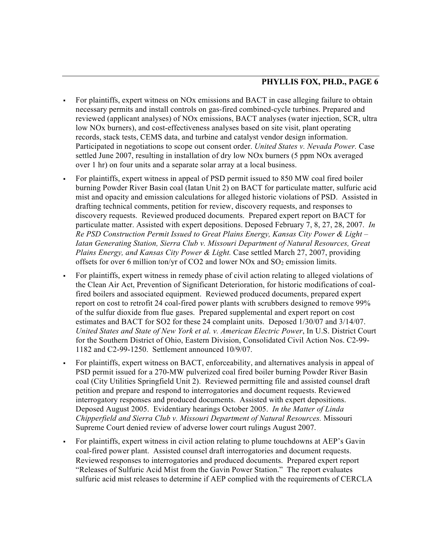- For plaintiffs, expert witness on NOx emissions and BACT in case alleging failure to obtain necessary permits and install controls on gas-fired combined-cycle turbines. Prepared and reviewed (applicant analyses) of NOx emissions, BACT analyses (water injection, SCR, ultra low NOx burners), and cost-effectiveness analyses based on site visit, plant operating records, stack tests, CEMS data, and turbine and catalyst vendor design information. Participated in negotiations to scope out consent order. *United States v. Nevada Power.* Case settled June 2007, resulting in installation of dry low NOx burners (5 ppm NOx averaged over 1 hr) on four units and a separate solar array at a local business.
- For plaintiffs, expert witness in appeal of PSD permit issued to 850 MW coal fired boiler burning Powder River Basin coal (Iatan Unit 2) on BACT for particulate matter, sulfuric acid mist and opacity and emission calculations for alleged historic violations of PSD. Assisted in drafting technical comments, petition for review, discovery requests, and responses to discovery requests. Reviewed produced documents. Prepared expert report on BACT for particulate matter. Assisted with expert depositions. Deposed February 7, 8, 27, 28, 2007. *In Re PSD Construction Permit Issued to Great Plains Energy, Kansas City Power & Light – Iatan Generating Station, Sierra Club v. Missouri Department of Natural Resources, Great Plains Energy, and Kansas City Power & Light.* Case settled March 27, 2007, providing offsets for over 6 million ton/yr of CO2 and lower NOx and  $SO_2$  emission limits.
- For plaintiffs, expert witness in remedy phase of civil action relating to alleged violations of the Clean Air Act, Prevention of Significant Deterioration, for historic modifications of coalfired boilers and associated equipment. Reviewed produced documents, prepared expert report on cost to retrofit 24 coal-fired power plants with scrubbers designed to remove 99% of the sulfur dioxide from flue gases. Prepared supplemental and expert report on cost estimates and BACT for SO2 for these 24 complaint units. Deposed 1/30/07 and 3/14/07. *United States and State of New York et al. v. American Electric Power*, In U.S. District Court for the Southern District of Ohio, Eastern Division, Consolidated Civil Action Nos. C2-99- 1182 and C2-99-1250. Settlement announced 10/9/07.
- For plaintiffs, expert witness on BACT, enforceability, and alternatives analysis in appeal of PSD permit issued for a 270-MW pulverized coal fired boiler burning Powder River Basin coal (City Utilities Springfield Unit 2). Reviewed permitting file and assisted counsel draft petition and prepare and respond to interrogatories and document requests. Reviewed interrogatory responses and produced documents. Assisted with expert depositions. Deposed August 2005. Evidentiary hearings October 2005. *In the Matter of Linda Chipperfield and Sierra Club v. Missouri Department of Natural Resources.* Missouri Supreme Court denied review of adverse lower court rulings August 2007.
- For plaintiffs, expert witness in civil action relating to plume touchdowns at AEP's Gavin coal-fired power plant. Assisted counsel draft interrogatories and document requests. Reviewed responses to interrogatories and produced documents. Prepared expert report "Releases of Sulfuric Acid Mist from the Gavin Power Station." The report evaluates sulfuric acid mist releases to determine if AEP complied with the requirements of CERCLA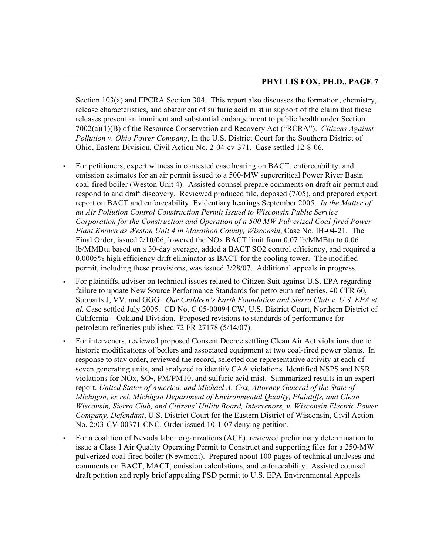Section 103(a) and EPCRA Section 304. This report also discusses the formation, chemistry, release characteristics, and abatement of sulfuric acid mist in support of the claim that these releases present an imminent and substantial endangerment to public health under Section 7002(a)(1)(B) of the Resource Conservation and Recovery Act ("RCRA"). *Citizens Against Pollution v. Ohio Power Company*, In the U.S. District Court for the Southern District of Ohio, Eastern Division, Civil Action No. 2-04-cv-371. Case settled 12-8-06.

- For petitioners, expert witness in contested case hearing on BACT, enforceability, and emission estimates for an air permit issued to a 500-MW supercritical Power River Basin coal-fired boiler (Weston Unit 4). Assisted counsel prepare comments on draft air permit and respond to and draft discovery. Reviewed produced file, deposed (7/05), and prepared expert report on BACT and enforceability. Evidentiary hearings September 2005. *In the Matter of an Air Pollution Control Construction Permit Issued to Wisconsin Public Service Corporation for the Construction and Operation of a 500 MW Pulverized Coal-fired Power Plant Known as Weston Unit 4 in Marathon County, Wisconsin*, Case No. IH-04-21. The Final Order, issued 2/10/06, lowered the NOx BACT limit from 0.07 lb/MMBtu to 0.06 lb/MMBtu based on a 30-day average, added a BACT SO2 control efficiency, and required a 0.0005% high efficiency drift eliminator as BACT for the cooling tower. The modified permit, including these provisions, was issued 3/28/07. Additional appeals in progress.
- For plaintiffs, adviser on technical issues related to Citizen Suit against U.S. EPA regarding failure to update New Source Performance Standards for petroleum refineries, 40 CFR 60, Subparts J, VV, and GGG. *Our Children's Earth Foundation and Sierra Club v. U.S. EPA et al.* Case settled July 2005. CD No. C 05-00094 CW, U.S. District Court, Northern District of California – Oakland Division. Proposed revisions to standards of performance for petroleum refineries published 72 FR 27178 (5/14/07).
- For interveners, reviewed proposed Consent Decree settling Clean Air Act violations due to historic modifications of boilers and associated equipment at two coal-fired power plants. In response to stay order, reviewed the record, selected one representative activity at each of seven generating units, and analyzed to identify CAA violations. Identified NSPS and NSR violations for  $NOx$ ,  $SO_2$ ,  $PM/PM10$ , and sulfuric acid mist. Summarized results in an expert report. *United States of America, and Michael A. Cox, Attorney General of the State of Michigan, ex rel. Michigan Department of Environmental Quality, Plaintiffs, and Clean Wisconsin, Sierra Club, and Citizens' Utility Board, Intervenors, v. Wisconsin Electric Power Company, Defendant*, U.S. District Court for the Eastern District of Wisconsin, Civil Action No. 2:03-CV-00371-CNC. Order issued 10-1-07 denying petition.
- For a coalition of Nevada labor organizations (ACE), reviewed preliminary determination to issue a Class I Air Quality Operating Permit to Construct and supporting files for a 250-MW pulverized coal-fired boiler (Newmont). Prepared about 100 pages of technical analyses and comments on BACT, MACT, emission calculations, and enforceability. Assisted counsel draft petition and reply brief appealing PSD permit to U.S. EPA Environmental Appeals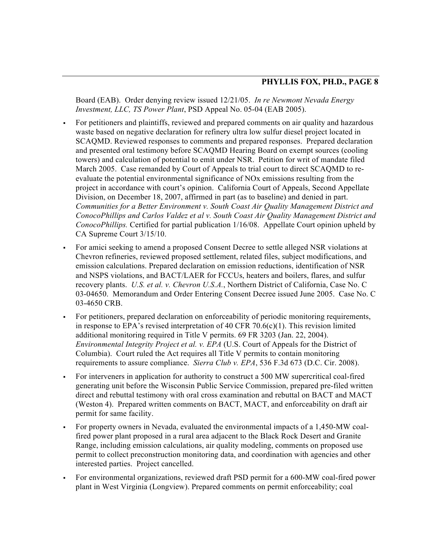Board (EAB). Order denying review issued 12/21/05. *In re Newmont Nevada Energy Investment, LLC, TS Power Plant*, PSD Appeal No. 05-04 (EAB 2005).

- For petitioners and plaintiffs, reviewed and prepared comments on air quality and hazardous waste based on negative declaration for refinery ultra low sulfur diesel project located in SCAQMD. Reviewed responses to comments and prepared responses. Prepared declaration and presented oral testimony before SCAQMD Hearing Board on exempt sources (cooling towers) and calculation of potential to emit under NSR. Petition for writ of mandate filed March 2005. Case remanded by Court of Appeals to trial court to direct SCAQMD to reevaluate the potential environmental significance of NOx emissions resulting from the project in accordance with court's opinion. California Court of Appeals, Second Appellate Division, on December 18, 2007, affirmed in part (as to baseline) and denied in part. *Communities for a Better Environment v. South Coast Air Quality Management District and ConocoPhillips and Carlos Valdez et al v. South Coast Air Quality Management District and ConocoPhillips.* Certified for partial publication 1/16/08. Appellate Court opinion upheld by CA Supreme Court 3/15/10.
- For amici seeking to amend a proposed Consent Decree to settle alleged NSR violations at Chevron refineries, reviewed proposed settlement, related files, subject modifications, and emission calculations. Prepared declaration on emission reductions, identification of NSR and NSPS violations, and BACT/LAER for FCCUs, heaters and boilers, flares, and sulfur recovery plants. *U.S. et al. v. Chevron U.S.A.*, Northern District of California, Case No. C 03-04650. Memorandum and Order Entering Consent Decree issued June 2005. Case No. C 03-4650 CRB.
- For petitioners, prepared declaration on enforceability of periodic monitoring requirements, in response to EPA's revised interpretation of 40 CFR 70.6(c)(1). This revision limited additional monitoring required in Title V permits. 69 FR 3203 (Jan. 22, 2004). *Environmental Integrity Project et al. v. EPA* (U.S. Court of Appeals for the District of Columbia). Court ruled the Act requires all Title V permits to contain monitoring requirements to assure compliance. *Sierra Club v. EPA*, 536 F.3d 673 (D.C. Cir. 2008).
- For interveners in application for authority to construct a 500 MW supercritical coal-fired generating unit before the Wisconsin Public Service Commission, prepared pre-filed written direct and rebuttal testimony with oral cross examination and rebuttal on BACT and MACT (Weston 4). Prepared written comments on BACT, MACT, and enforceability on draft air permit for same facility.
- For property owners in Nevada, evaluated the environmental impacts of a 1,450-MW coalfired power plant proposed in a rural area adjacent to the Black Rock Desert and Granite Range, including emission calculations, air quality modeling, comments on proposed use permit to collect preconstruction monitoring data, and coordination with agencies and other interested parties. Project cancelled.
- For environmental organizations, reviewed draft PSD permit for a 600-MW coal-fired power plant in West Virginia (Longview). Prepared comments on permit enforceability; coal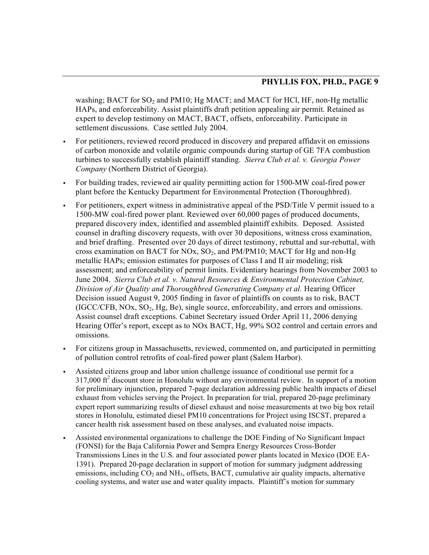washing; BACT for  $SO_2$  and PM10; Hg MACT; and MACT for HCl, HF, non-Hg metallic HAPs, and enforceability. Assist plaintiffs draft petition appealing air permit. Retained as expert to develop testimony on MACT, BACT, offsets, enforceability. Participate in settlement discussions. Case settled July 2004.

- For petitioners, reviewed record produced in discovery and prepared affidavit on emissions of carbon monoxide and volatile organic compounds during startup of GE 7FA combustion turbines to successfully establish plaintiff standing. *Sierra Club et al. v. Georgia Power Company* (Northern District of Georgia).
- For building trades, reviewed air quality permitting action for 1500-MW coal-fired power plant before the Kentucky Department for Environmental Protection (Thoroughbred).
- For petitioners, expert witness in administrative appeal of the PSD/Title V permit issued to a 1500-MW coal-fired power plant. Reviewed over 60,000 pages of produced documents, prepared discovery index, identified and assembled plaintiff exhibits. Deposed. Assisted counsel in drafting discovery requests, with over 30 depositions, witness cross examination, and brief drafting. Presented over 20 days of direct testimony, rebuttal and sur-rebuttal, with cross examination on BACT for NOx,  $SO_2$ , and PM/PM10; MACT for Hg and non-Hg metallic HAPs; emission estimates for purposes of Class I and II air modeling; risk assessment; and enforceability of permit limits. Evidentiary hearings from November 2003 to June 2004. *Sierra Club et al. v. Natural Resources & Environmental Protection Cabinet, Division of Air Quality and Thoroughbred Generating Company et al.* Hearing Officer Decision issued August 9, 2005 finding in favor of plaintiffs on counts as to risk, BACT  $(IGC/CFB, NOX, SO<sub>2</sub>, Hg, Be)$ , single source, enforceability, and errors and omissions. Assist counsel draft exceptions. Cabinet Secretary issued Order April 11, 2006 denying Hearing Offer's report, except as to NOx BACT, Hg, 99% SO2 control and certain errors and omissions.
- For citizens group in Massachusetts, reviewed, commented on, and participated in permitting of pollution control retrofits of coal-fired power plant (Salem Harbor).
- Assisted citizens group and labor union challenge issuance of conditional use permit for a  $317,000$  ft<sup>2</sup> discount store in Honolulu without any environmental review. In support of a motion for preliminary injunction, prepared 7-page declaration addressing public health impacts of diesel exhaust from vehicles serving the Project. In preparation for trial, prepared 20-page preliminary expert report summarizing results of diesel exhaust and noise measurements at two big box retail stores in Honolulu, estimated diesel PM10 concentrations for Project using ISCST, prepared a cancer health risk assessment based on these analyses, and evaluated noise impacts.
- Assisted environmental organizations to challenge the DOE Finding of No Significant Impact (FONSI) for the Baja California Power and Sempra Energy Resources Cross-Border Transmissions Lines in the U.S. and four associated power plants located in Mexico (DOE EA-1391). Prepared 20-page declaration in support of motion for summary judgment addressing emissions, including  $CO<sub>2</sub>$  and NH<sub>3</sub>, offsets, BACT, cumulative air quality impacts, alternative cooling systems, and water use and water quality impacts. Plaintiff's motion for summary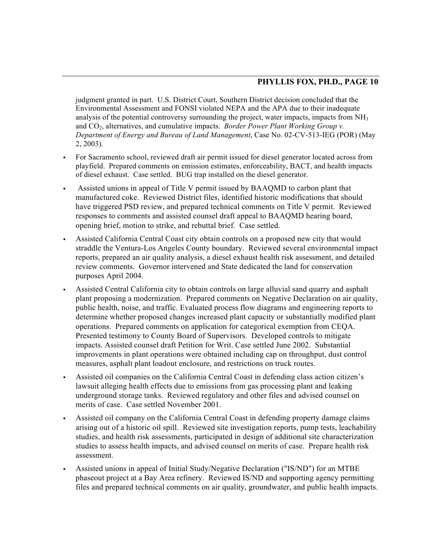judgment granted in part. U.S. District Court, Southern District decision concluded that the Environmental Assessment and FONSI violated NEPA and the APA due to their inadequate analysis of the potential controversy surrounding the project, water impacts, impacts from  $NH<sub>3</sub>$ and CO<sub>2</sub>, alternatives, and cumulative impacts. *Border Power Plant Working Group v. Department of Energy and Bureau of Land Management*, Case No. 02-CV-513-IEG (POR) (May 2, 2003).

- For Sacramento school, reviewed draft air permit issued for diesel generator located across from playfield. Prepared comments on emission estimates, enforceability, BACT, and health impacts of diesel exhaust. Case settled. BUG trap installed on the diesel generator.
- Assisted unions in appeal of Title V permit issued by BAAQMD to carbon plant that manufactured coke. Reviewed District files, identified historic modifications that should have triggered PSD review, and prepared technical comments on Title V permit. Reviewed responses to comments and assisted counsel draft appeal to BAAQMD hearing board, opening brief, motion to strike, and rebuttal brief. Case settled.
- Assisted California Central Coast city obtain controls on a proposed new city that would straddle the Ventura-Los Angeles County boundary. Reviewed several environmental impact reports, prepared an air quality analysis, a diesel exhaust health risk assessment, and detailed review comments. Governor intervened and State dedicated the land for conservation purposes April 2004.
- Assisted Central California city to obtain controls on large alluvial sand quarry and asphalt plant proposing a modernization. Prepared comments on Negative Declaration on air quality, public health, noise, and traffic. Evaluated process flow diagrams and engineering reports to determine whether proposed changes increased plant capacity or substantially modified plant operations. Prepared comments on application for categorical exemption from CEQA. Presented testimony to County Board of Supervisors. Developed controls to mitigate impacts. Assisted counsel draft Petition for Writ. Case settled June 2002. Substantial improvements in plant operations were obtained including cap on throughput, dust control measures, asphalt plant loadout enclosure, and restrictions on truck routes.
- Assisted oil companies on the California Central Coast in defending class action citizen's lawsuit alleging health effects due to emissions from gas processing plant and leaking underground storage tanks. Reviewed regulatory and other files and advised counsel on merits of case. Case settled November 2001.
- Assisted oil company on the California Central Coast in defending property damage claims arising out of a historic oil spill. Reviewed site investigation reports, pump tests, leachability studies, and health risk assessments, participated in design of additional site characterization studies to assess health impacts, and advised counsel on merits of case. Prepare health risk assessment.
- Assisted unions in appeal of Initial Study/Negative Declaration ("IS/ND") for an MTBE phaseout project at a Bay Area refinery. Reviewed IS/ND and supporting agency permitting files and prepared technical comments on air quality, groundwater, and public health impacts.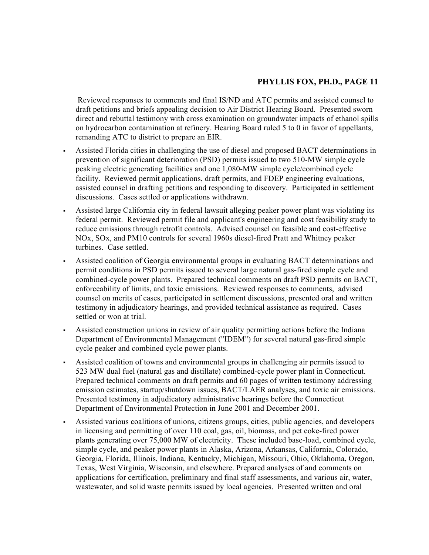Reviewed responses to comments and final IS/ND and ATC permits and assisted counsel to draft petitions and briefs appealing decision to Air District Hearing Board. Presented sworn direct and rebuttal testimony with cross examination on groundwater impacts of ethanol spills on hydrocarbon contamination at refinery. Hearing Board ruled 5 to 0 in favor of appellants, remanding ATC to district to prepare an EIR.

- Assisted Florida cities in challenging the use of diesel and proposed BACT determinations in prevention of significant deterioration (PSD) permits issued to two 510-MW simple cycle peaking electric generating facilities and one 1,080-MW simple cycle/combined cycle facility. Reviewed permit applications, draft permits, and FDEP engineering evaluations, assisted counsel in drafting petitions and responding to discovery. Participated in settlement discussions. Cases settled or applications withdrawn.
- Assisted large California city in federal lawsuit alleging peaker power plant was violating its federal permit. Reviewed permit file and applicant's engineering and cost feasibility study to reduce emissions through retrofit controls. Advised counsel on feasible and cost-effective NOx, SOx, and PM10 controls for several 1960s diesel-fired Pratt and Whitney peaker turbines. Case settled.
- Assisted coalition of Georgia environmental groups in evaluating BACT determinations and permit conditions in PSD permits issued to several large natural gas-fired simple cycle and combined-cycle power plants. Prepared technical comments on draft PSD permits on BACT, enforceability of limits, and toxic emissions. Reviewed responses to comments, advised counsel on merits of cases, participated in settlement discussions, presented oral and written testimony in adjudicatory hearings, and provided technical assistance as required. Cases settled or won at trial.
- Assisted construction unions in review of air quality permitting actions before the Indiana Department of Environmental Management ("IDEM") for several natural gas-fired simple cycle peaker and combined cycle power plants.
- Assisted coalition of towns and environmental groups in challenging air permits issued to 523 MW dual fuel (natural gas and distillate) combined-cycle power plant in Connecticut. Prepared technical comments on draft permits and 60 pages of written testimony addressing emission estimates, startup/shutdown issues, BACT/LAER analyses, and toxic air emissions. Presented testimony in adjudicatory administrative hearings before the Connecticut Department of Environmental Protection in June 2001 and December 2001.
- Assisted various coalitions of unions, citizens groups, cities, public agencies, and developers in licensing and permitting of over 110 coal, gas, oil, biomass, and pet coke-fired power plants generating over 75,000 MW of electricity. These included base-load, combined cycle, simple cycle, and peaker power plants in Alaska, Arizona, Arkansas, California, Colorado, Georgia, Florida, Illinois, Indiana, Kentucky, Michigan, Missouri, Ohio, Oklahoma, Oregon, Texas, West Virginia, Wisconsin, and elsewhere. Prepared analyses of and comments on applications for certification, preliminary and final staff assessments, and various air, water, wastewater, and solid waste permits issued by local agencies. Presented written and oral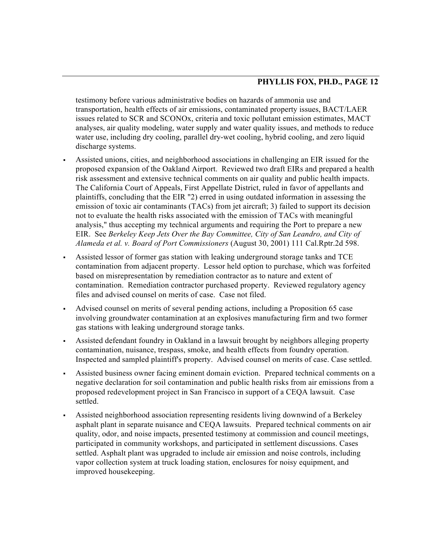testimony before various administrative bodies on hazards of ammonia use and transportation, health effects of air emissions, contaminated property issues, BACT/LAER issues related to SCR and SCONOx, criteria and toxic pollutant emission estimates, MACT analyses, air quality modeling, water supply and water quality issues, and methods to reduce water use, including dry cooling, parallel dry-wet cooling, hybrid cooling, and zero liquid discharge systems.

- Assisted unions, cities, and neighborhood associations in challenging an EIR issued for the proposed expansion of the Oakland Airport. Reviewed two draft EIRs and prepared a health risk assessment and extensive technical comments on air quality and public health impacts. The California Court of Appeals, First Appellate District, ruled in favor of appellants and plaintiffs, concluding that the EIR "2) erred in using outdated information in assessing the emission of toxic air contaminants (TACs) from jet aircraft; 3) failed to support its decision not to evaluate the health risks associated with the emission of TACs with meaningful analysis," thus accepting my technical arguments and requiring the Port to prepare a new EIR. See *Berkeley Keep Jets Over the Bay Committee, City of San Leandro, and City of Alameda et al. v. Board of Port Commissioners* (August 30, 2001) 111 Cal.Rptr.2d 598.
- Assisted lessor of former gas station with leaking underground storage tanks and TCE contamination from adjacent property. Lessor held option to purchase, which was forfeited based on misrepresentation by remediation contractor as to nature and extent of contamination. Remediation contractor purchased property. Reviewed regulatory agency files and advised counsel on merits of case. Case not filed.
- Advised counsel on merits of several pending actions, including a Proposition 65 case involving groundwater contamination at an explosives manufacturing firm and two former gas stations with leaking underground storage tanks.
- Assisted defendant foundry in Oakland in a lawsuit brought by neighbors alleging property contamination, nuisance, trespass, smoke, and health effects from foundry operation. Inspected and sampled plaintiff's property. Advised counsel on merits of case. Case settled.
- Assisted business owner facing eminent domain eviction. Prepared technical comments on a negative declaration for soil contamination and public health risks from air emissions from a proposed redevelopment project in San Francisco in support of a CEQA lawsuit. Case settled.
- Assisted neighborhood association representing residents living downwind of a Berkeley asphalt plant in separate nuisance and CEQA lawsuits. Prepared technical comments on air quality, odor, and noise impacts, presented testimony at commission and council meetings, participated in community workshops, and participated in settlement discussions. Cases settled. Asphalt plant was upgraded to include air emission and noise controls, including vapor collection system at truck loading station, enclosures for noisy equipment, and improved housekeeping.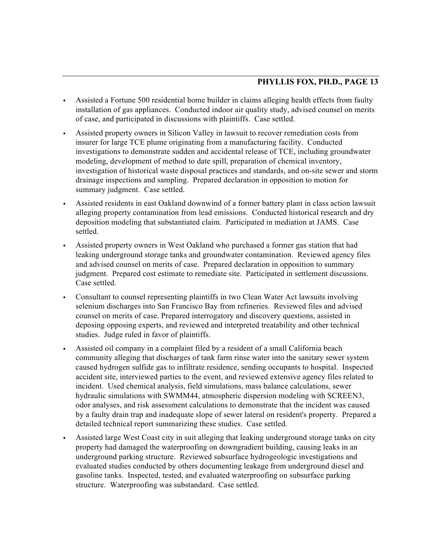- Assisted a Fortune 500 residential home builder in claims alleging health effects from faulty installation of gas appliances. Conducted indoor air quality study, advised counsel on merits of case, and participated in discussions with plaintiffs. Case settled.
- Assisted property owners in Silicon Valley in lawsuit to recover remediation costs from insurer for large TCE plume originating from a manufacturing facility. Conducted investigations to demonstrate sudden and accidental release of TCE, including groundwater modeling, development of method to date spill, preparation of chemical inventory, investigation of historical waste disposal practices and standards, and on-site sewer and storm drainage inspections and sampling. Prepared declaration in opposition to motion for summary judgment. Case settled.
- Assisted residents in east Oakland downwind of a former battery plant in class action lawsuit alleging property contamination from lead emissions. Conducted historical research and dry deposition modeling that substantiated claim. Participated in mediation at JAMS. Case settled.
- Assisted property owners in West Oakland who purchased a former gas station that had leaking underground storage tanks and groundwater contamination. Reviewed agency files and advised counsel on merits of case. Prepared declaration in opposition to summary judgment. Prepared cost estimate to remediate site. Participated in settlement discussions. Case settled.
- Consultant to counsel representing plaintiffs in two Clean Water Act lawsuits involving selenium discharges into San Francisco Bay from refineries. Reviewed files and advised counsel on merits of case. Prepared interrogatory and discovery questions, assisted in deposing opposing experts, and reviewed and interpreted treatability and other technical studies. Judge ruled in favor of plaintiffs.
- Assisted oil company in a complaint filed by a resident of a small California beach community alleging that discharges of tank farm rinse water into the sanitary sewer system caused hydrogen sulfide gas to infiltrate residence, sending occupants to hospital. Inspected accident site, interviewed parties to the event, and reviewed extensive agency files related to incident. Used chemical analysis, field simulations, mass balance calculations, sewer hydraulic simulations with SWMM44, atmospheric dispersion modeling with SCREEN3, odor analyses, and risk assessment calculations to demonstrate that the incident was caused by a faulty drain trap and inadequate slope of sewer lateral on resident's property. Prepared a detailed technical report summarizing these studies. Case settled.
- Assisted large West Coast city in suit alleging that leaking underground storage tanks on city property had damaged the waterproofing on downgradient building, causing leaks in an underground parking structure. Reviewed subsurface hydrogeologic investigations and evaluated studies conducted by others documenting leakage from underground diesel and gasoline tanks. Inspected, tested, and evaluated waterproofing on subsurface parking structure. Waterproofing was substandard. Case settled.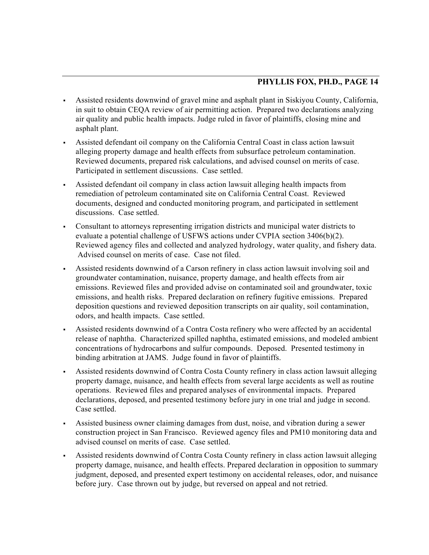- Assisted residents downwind of gravel mine and asphalt plant in Siskiyou County, California, in suit to obtain CEQA review of air permitting action. Prepared two declarations analyzing air quality and public health impacts. Judge ruled in favor of plaintiffs, closing mine and asphalt plant.
- Assisted defendant oil company on the California Central Coast in class action lawsuit alleging property damage and health effects from subsurface petroleum contamination. Reviewed documents, prepared risk calculations, and advised counsel on merits of case. Participated in settlement discussions. Case settled.
- Assisted defendant oil company in class action lawsuit alleging health impacts from remediation of petroleum contaminated site on California Central Coast. Reviewed documents, designed and conducted monitoring program, and participated in settlement discussions. Case settled.
- Consultant to attorneys representing irrigation districts and municipal water districts to evaluate a potential challenge of USFWS actions under CVPIA section 3406(b)(2). Reviewed agency files and collected and analyzed hydrology, water quality, and fishery data. Advised counsel on merits of case. Case not filed.
- Assisted residents downwind of a Carson refinery in class action lawsuit involving soil and groundwater contamination, nuisance, property damage, and health effects from air emissions. Reviewed files and provided advise on contaminated soil and groundwater, toxic emissions, and health risks. Prepared declaration on refinery fugitive emissions. Prepared deposition questions and reviewed deposition transcripts on air quality, soil contamination, odors, and health impacts. Case settled.
- Assisted residents downwind of a Contra Costa refinery who were affected by an accidental release of naphtha. Characterized spilled naphtha, estimated emissions, and modeled ambient concentrations of hydrocarbons and sulfur compounds. Deposed. Presented testimony in binding arbitration at JAMS. Judge found in favor of plaintiffs.
- Assisted residents downwind of Contra Costa County refinery in class action lawsuit alleging property damage, nuisance, and health effects from several large accidents as well as routine operations. Reviewed files and prepared analyses of environmental impacts. Prepared declarations, deposed, and presented testimony before jury in one trial and judge in second. Case settled.
- Assisted business owner claiming damages from dust, noise, and vibration during a sewer construction project in San Francisco. Reviewed agency files and PM10 monitoring data and advised counsel on merits of case. Case settled.
- Assisted residents downwind of Contra Costa County refinery in class action lawsuit alleging property damage, nuisance, and health effects. Prepared declaration in opposition to summary judgment, deposed, and presented expert testimony on accidental releases, odor, and nuisance before jury. Case thrown out by judge, but reversed on appeal and not retried.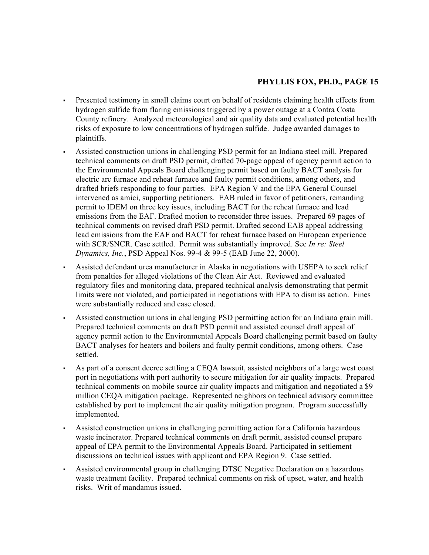- Presented testimony in small claims court on behalf of residents claiming health effects from hydrogen sulfide from flaring emissions triggered by a power outage at a Contra Costa County refinery. Analyzed meteorological and air quality data and evaluated potential health risks of exposure to low concentrations of hydrogen sulfide. Judge awarded damages to plaintiffs.
- Assisted construction unions in challenging PSD permit for an Indiana steel mill. Prepared technical comments on draft PSD permit, drafted 70-page appeal of agency permit action to the Environmental Appeals Board challenging permit based on faulty BACT analysis for electric arc furnace and reheat furnace and faulty permit conditions, among others, and drafted briefs responding to four parties. EPA Region V and the EPA General Counsel intervened as amici, supporting petitioners. EAB ruled in favor of petitioners, remanding permit to IDEM on three key issues, including BACT for the reheat furnace and lead emissions from the EAF. Drafted motion to reconsider three issues. Prepared 69 pages of technical comments on revised draft PSD permit. Drafted second EAB appeal addressing lead emissions from the EAF and BACT for reheat furnace based on European experience with SCR/SNCR. Case settled. Permit was substantially improved. See *In re: Steel Dynamics, Inc.*, PSD Appeal Nos. 99-4 & 99-5 (EAB June 22, 2000).
- Assisted defendant urea manufacturer in Alaska in negotiations with USEPA to seek relief from penalties for alleged violations of the Clean Air Act. Reviewed and evaluated regulatory files and monitoring data, prepared technical analysis demonstrating that permit limits were not violated, and participated in negotiations with EPA to dismiss action. Fines were substantially reduced and case closed.
- Assisted construction unions in challenging PSD permitting action for an Indiana grain mill. Prepared technical comments on draft PSD permit and assisted counsel draft appeal of agency permit action to the Environmental Appeals Board challenging permit based on faulty BACT analyses for heaters and boilers and faulty permit conditions, among others. Case settled.
- As part of a consent decree settling a CEQA lawsuit, assisted neighbors of a large west coast port in negotiations with port authority to secure mitigation for air quality impacts. Prepared technical comments on mobile source air quality impacts and mitigation and negotiated a \$9 million CEQA mitigation package. Represented neighbors on technical advisory committee established by port to implement the air quality mitigation program. Program successfully implemented.
- Assisted construction unions in challenging permitting action for a California hazardous waste incinerator. Prepared technical comments on draft permit, assisted counsel prepare appeal of EPA permit to the Environmental Appeals Board. Participated in settlement discussions on technical issues with applicant and EPA Region 9. Case settled.
- Assisted environmental group in challenging DTSC Negative Declaration on a hazardous waste treatment facility. Prepared technical comments on risk of upset, water, and health risks. Writ of mandamus issued.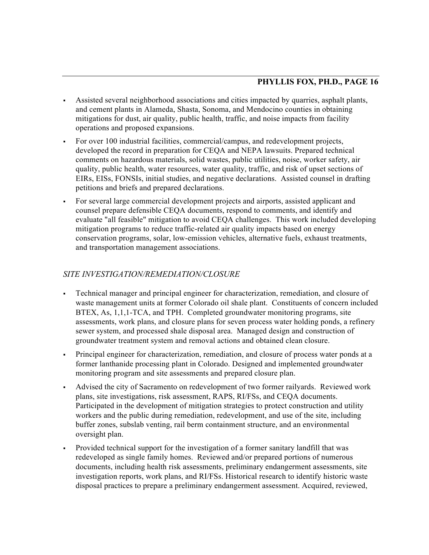- Assisted several neighborhood associations and cities impacted by quarries, asphalt plants, and cement plants in Alameda, Shasta, Sonoma, and Mendocino counties in obtaining mitigations for dust, air quality, public health, traffic, and noise impacts from facility operations and proposed expansions.
- For over 100 industrial facilities, commercial/campus, and redevelopment projects, developed the record in preparation for CEQA and NEPA lawsuits. Prepared technical comments on hazardous materials, solid wastes, public utilities, noise, worker safety, air quality, public health, water resources, water quality, traffic, and risk of upset sections of EIRs, EISs, FONSIs, initial studies, and negative declarations. Assisted counsel in drafting petitions and briefs and prepared declarations.
- For several large commercial development projects and airports, assisted applicant and counsel prepare defensible CEQA documents, respond to comments, and identify and evaluate "all feasible" mitigation to avoid CEQA challenges. This work included developing mitigation programs to reduce traffic-related air quality impacts based on energy conservation programs, solar, low-emission vehicles, alternative fuels, exhaust treatments, and transportation management associations.

# *SITE INVESTIGATION/REMEDIATION/CLOSURE*

- Technical manager and principal engineer for characterization, remediation, and closure of waste management units at former Colorado oil shale plant. Constituents of concern included BTEX, As, 1,1,1-TCA, and TPH. Completed groundwater monitoring programs, site assessments, work plans, and closure plans for seven process water holding ponds, a refinery sewer system, and processed shale disposal area. Managed design and construction of groundwater treatment system and removal actions and obtained clean closure.
- Principal engineer for characterization, remediation, and closure of process water ponds at a former lanthanide processing plant in Colorado. Designed and implemented groundwater monitoring program and site assessments and prepared closure plan.
- Advised the city of Sacramento on redevelopment of two former railyards. Reviewed work plans, site investigations, risk assessment, RAPS, RI/FSs, and CEQA documents. Participated in the development of mitigation strategies to protect construction and utility workers and the public during remediation, redevelopment, and use of the site, including buffer zones, subslab venting, rail berm containment structure, and an environmental oversight plan.
- Provided technical support for the investigation of a former sanitary landfill that was redeveloped as single family homes. Reviewed and/or prepared portions of numerous documents, including health risk assessments, preliminary endangerment assessments, site investigation reports, work plans, and RI/FSs. Historical research to identify historic waste disposal practices to prepare a preliminary endangerment assessment. Acquired, reviewed,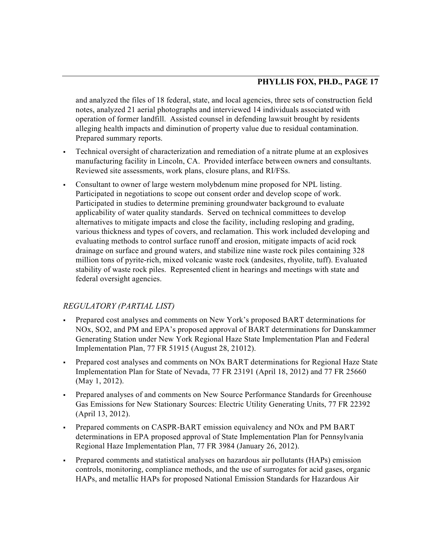and analyzed the files of 18 federal, state, and local agencies, three sets of construction field notes, analyzed 21 aerial photographs and interviewed 14 individuals associated with operation of former landfill. Assisted counsel in defending lawsuit brought by residents alleging health impacts and diminution of property value due to residual contamination. Prepared summary reports.

- Technical oversight of characterization and remediation of a nitrate plume at an explosives manufacturing facility in Lincoln, CA. Provided interface between owners and consultants. Reviewed site assessments, work plans, closure plans, and RI/FSs.
- Consultant to owner of large western molybdenum mine proposed for NPL listing. Participated in negotiations to scope out consent order and develop scope of work. Participated in studies to determine premining groundwater background to evaluate applicability of water quality standards. Served on technical committees to develop alternatives to mitigate impacts and close the facility, including resloping and grading, various thickness and types of covers, and reclamation. This work included developing and evaluating methods to control surface runoff and erosion, mitigate impacts of acid rock drainage on surface and ground waters, and stabilize nine waste rock piles containing 328 million tons of pyrite-rich, mixed volcanic waste rock (andesites, rhyolite, tuff). Evaluated stability of waste rock piles. Represented client in hearings and meetings with state and federal oversight agencies.

# *REGULATORY (PARTIAL LIST)*

- Prepared cost analyses and comments on New York's proposed BART determinations for NOx, SO2, and PM and EPA's proposed approval of BART determinations for Danskammer Generating Station under New York Regional Haze State Implementation Plan and Federal Implementation Plan, 77 FR 51915 (August 28, 21012).
- Prepared cost analyses and comments on NOx BART determinations for Regional Haze State Implementation Plan for State of Nevada, 77 FR 23191 (April 18, 2012) and 77 FR 25660 (May 1, 2012).
- Prepared analyses of and comments on New Source Performance Standards for Greenhouse Gas Emissions for New Stationary Sources: Electric Utility Generating Units, 77 FR 22392 (April 13, 2012).
- Prepared comments on CASPR-BART emission equivalency and NOx and PM BART determinations in EPA proposed approval of State Implementation Plan for Pennsylvania Regional Haze Implementation Plan, 77 FR 3984 (January 26, 2012).
- Prepared comments and statistical analyses on hazardous air pollutants (HAPs) emission controls, monitoring, compliance methods, and the use of surrogates for acid gases, organic HAPs, and metallic HAPs for proposed National Emission Standards for Hazardous Air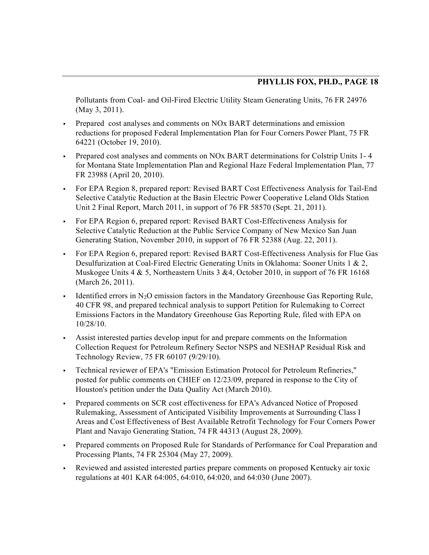Pollutants from Coal- and Oil-Fired Electric Utility Steam Generating Units, 76 FR 24976 (May 3, 2011).

- Prepared cost analyses and comments on NOx BART determinations and emission reductions for proposed Federal Implementation Plan for Four Corners Power Plant, 75 FR 64221 (October 19, 2010).
- Prepared cost analyses and comments on NOx BART determinations for Colstrip Units 1- 4 for Montana State Implementation Plan and Regional Haze Federal Implementation Plan, 77 FR 23988 (April 20, 2010).
- For EPA Region 8, prepared report: Revised BART Cost Effectiveness Analysis for Tail-End Selective Catalytic Reduction at the Basin Electric Power Cooperative Leland Olds Station Unit 2 Final Report, March 2011, in support of 76 FR 58570 (Sept. 21, 2011).
- For EPA Region 6, prepared report: Revised BART Cost-Effectiveness Analysis for Selective Catalytic Reduction at the Public Service Company of New Mexico San Juan Generating Station, November 2010, in support of 76 FR 52388 (Aug. 22, 2011).
- For EPA Region 6, prepared report: Revised BART Cost-Effectiveness Analysis for Flue Gas Desulfurization at Coal-Fired Electric Generating Units in Oklahoma: Sooner Units 1 & 2, Muskogee Units 4 & 5, Northeastern Units 3 & 4, October 2010, in support of 76 FR 16168 (March 26, 2011).
- Identified errors in  $N_2O$  emission factors in the Mandatory Greenhouse Gas Reporting Rule, 40 CFR 98, and prepared technical analysis to support Petition for Rulemaking to Correct Emissions Factors in the Mandatory Greenhouse Gas Reporting Rule, filed with EPA on 10/28/10.
- Assist interested parties develop input for and prepare comments on the Information Collection Request for Petroleum Refinery Sector NSPS and NESHAP Residual Risk and Technology Review, 75 FR 60107 (9/29/10).
- Technical reviewer of EPA's "Emission Estimation Protocol for Petroleum Refineries," posted for public comments on CHIEF on 12/23/09, prepared in response to the City of Houston's petition under the Data Quality Act (March 2010).
- Prepared comments on SCR cost effectiveness for EPA's Advanced Notice of Proposed Rulemaking, Assessment of Anticipated Visibility Improvements at Surrounding Class I Areas and Cost Effectiveness of Best Available Retrofit Technology for Four Corners Power Plant and Navajo Generating Station, 74 FR 44313 (August 28, 2009).
- Prepared comments on Proposed Rule for Standards of Performance for Coal Preparation and Processing Plants, 74 FR 25304 (May 27, 2009).
- Reviewed and assisted interested parties prepare comments on proposed Kentucky air toxic regulations at 401 KAR 64:005, 64:010, 64:020, and 64:030 (June 2007).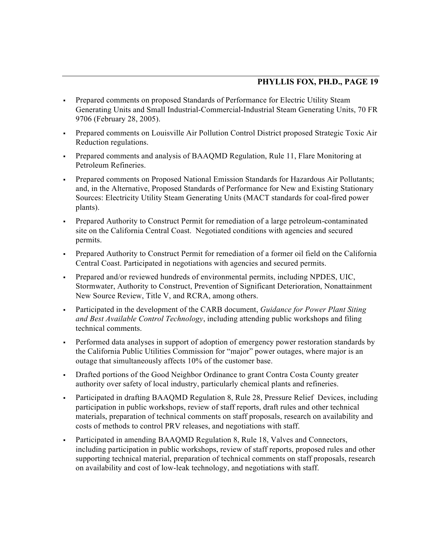- Prepared comments on proposed Standards of Performance for Electric Utility Steam Generating Units and Small Industrial-Commercial-Industrial Steam Generating Units, 70 FR 9706 (February 28, 2005).
- Prepared comments on Louisville Air Pollution Control District proposed Strategic Toxic Air Reduction regulations.
- Prepared comments and analysis of BAAQMD Regulation, Rule 11, Flare Monitoring at Petroleum Refineries.
- Prepared comments on Proposed National Emission Standards for Hazardous Air Pollutants; and, in the Alternative, Proposed Standards of Performance for New and Existing Stationary Sources: Electricity Utility Steam Generating Units (MACT standards for coal-fired power plants).
- Prepared Authority to Construct Permit for remediation of a large petroleum-contaminated site on the California Central Coast. Negotiated conditions with agencies and secured permits.
- Prepared Authority to Construct Permit for remediation of a former oil field on the California Central Coast. Participated in negotiations with agencies and secured permits.
- Prepared and/or reviewed hundreds of environmental permits, including NPDES, UIC, Stormwater, Authority to Construct, Prevention of Significant Deterioration, Nonattainment New Source Review, Title V, and RCRA, among others.
- Participated in the development of the CARB document, *Guidance for Power Plant Siting and Best Available Control Technology*, including attending public workshops and filing technical comments.
- Performed data analyses in support of adoption of emergency power restoration standards by the California Public Utilities Commission for "major" power outages, where major is an outage that simultaneously affects 10% of the customer base.
- Drafted portions of the Good Neighbor Ordinance to grant Contra Costa County greater authority over safety of local industry, particularly chemical plants and refineries.
- Participated in drafting BAAQMD Regulation 8, Rule 28, Pressure Relief Devices, including participation in public workshops, review of staff reports, draft rules and other technical materials, preparation of technical comments on staff proposals, research on availability and costs of methods to control PRV releases, and negotiations with staff.
- Participated in amending BAAQMD Regulation 8, Rule 18, Valves and Connectors, including participation in public workshops, review of staff reports, proposed rules and other supporting technical material, preparation of technical comments on staff proposals, research on availability and cost of low-leak technology, and negotiations with staff.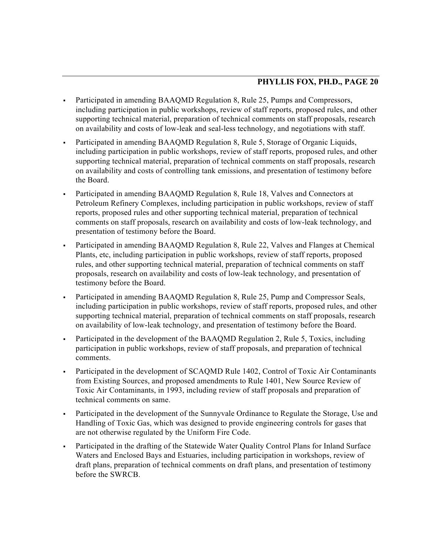- Participated in amending BAAQMD Regulation 8, Rule 25, Pumps and Compressors, including participation in public workshops, review of staff reports, proposed rules, and other supporting technical material, preparation of technical comments on staff proposals, research on availability and costs of low-leak and seal-less technology, and negotiations with staff.
- Participated in amending BAAQMD Regulation 8, Rule 5, Storage of Organic Liquids, including participation in public workshops, review of staff reports, proposed rules, and other supporting technical material, preparation of technical comments on staff proposals, research on availability and costs of controlling tank emissions, and presentation of testimony before the Board.
- Participated in amending BAAQMD Regulation 8, Rule 18, Valves and Connectors at Petroleum Refinery Complexes, including participation in public workshops, review of staff reports, proposed rules and other supporting technical material, preparation of technical comments on staff proposals, research on availability and costs of low-leak technology, and presentation of testimony before the Board.
- Participated in amending BAAQMD Regulation 8, Rule 22, Valves and Flanges at Chemical Plants, etc, including participation in public workshops, review of staff reports, proposed rules, and other supporting technical material, preparation of technical comments on staff proposals, research on availability and costs of low-leak technology, and presentation of testimony before the Board.
- Participated in amending BAAQMD Regulation 8, Rule 25, Pump and Compressor Seals, including participation in public workshops, review of staff reports, proposed rules, and other supporting technical material, preparation of technical comments on staff proposals, research on availability of low-leak technology, and presentation of testimony before the Board.
- Participated in the development of the BAAQMD Regulation 2, Rule 5, Toxics, including participation in public workshops, review of staff proposals, and preparation of technical comments.
- Participated in the development of SCAQMD Rule 1402, Control of Toxic Air Contaminants from Existing Sources, and proposed amendments to Rule 1401, New Source Review of Toxic Air Contaminants, in 1993, including review of staff proposals and preparation of technical comments on same.
- Participated in the development of the Sunnyvale Ordinance to Regulate the Storage, Use and Handling of Toxic Gas, which was designed to provide engineering controls for gases that are not otherwise regulated by the Uniform Fire Code.
- Participated in the drafting of the Statewide Water Quality Control Plans for Inland Surface Waters and Enclosed Bays and Estuaries, including participation in workshops, review of draft plans, preparation of technical comments on draft plans, and presentation of testimony before the SWRCB.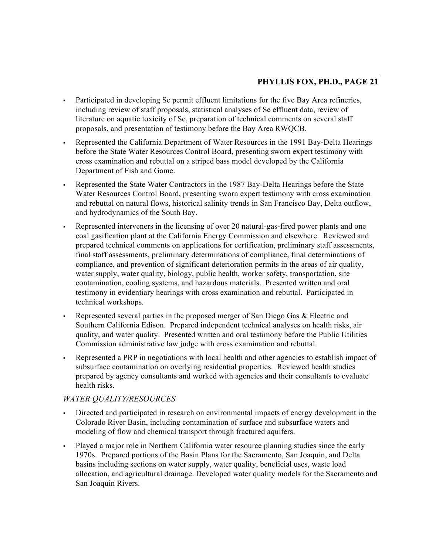- Participated in developing Se permit effluent limitations for the five Bay Area refineries, including review of staff proposals, statistical analyses of Se effluent data, review of literature on aquatic toxicity of Se, preparation of technical comments on several staff proposals, and presentation of testimony before the Bay Area RWQCB.
- Represented the California Department of Water Resources in the 1991 Bay-Delta Hearings before the State Water Resources Control Board, presenting sworn expert testimony with cross examination and rebuttal on a striped bass model developed by the California Department of Fish and Game.
- Represented the State Water Contractors in the 1987 Bay-Delta Hearings before the State Water Resources Control Board, presenting sworn expert testimony with cross examination and rebuttal on natural flows, historical salinity trends in San Francisco Bay, Delta outflow, and hydrodynamics of the South Bay.
- Represented interveners in the licensing of over 20 natural-gas-fired power plants and one coal gasification plant at the California Energy Commission and elsewhere. Reviewed and prepared technical comments on applications for certification, preliminary staff assessments, final staff assessments, preliminary determinations of compliance, final determinations of compliance, and prevention of significant deterioration permits in the areas of air quality, water supply, water quality, biology, public health, worker safety, transportation, site contamination, cooling systems, and hazardous materials. Presented written and oral testimony in evidentiary hearings with cross examination and rebuttal. Participated in technical workshops.
- Represented several parties in the proposed merger of San Diego Gas & Electric and Southern California Edison. Prepared independent technical analyses on health risks, air quality, and water quality. Presented written and oral testimony before the Public Utilities Commission administrative law judge with cross examination and rebuttal.
- Represented a PRP in negotiations with local health and other agencies to establish impact of subsurface contamination on overlying residential properties. Reviewed health studies prepared by agency consultants and worked with agencies and their consultants to evaluate health risks.

# *WATER QUALITY/RESOURCES*

- Directed and participated in research on environmental impacts of energy development in the Colorado River Basin, including contamination of surface and subsurface waters and modeling of flow and chemical transport through fractured aquifers.
- Played a major role in Northern California water resource planning studies since the early 1970s. Prepared portions of the Basin Plans for the Sacramento, San Joaquin, and Delta basins including sections on water supply, water quality, beneficial uses, waste load allocation, and agricultural drainage. Developed water quality models for the Sacramento and San Joaquin Rivers.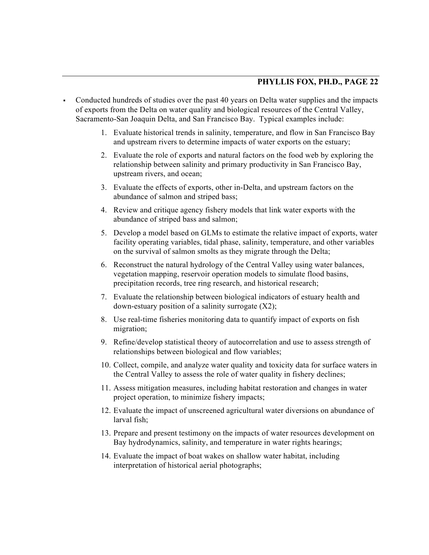- Conducted hundreds of studies over the past 40 years on Delta water supplies and the impacts of exports from the Delta on water quality and biological resources of the Central Valley, Sacramento-San Joaquin Delta, and San Francisco Bay. Typical examples include:
	- 1. Evaluate historical trends in salinity, temperature, and flow in San Francisco Bay and upstream rivers to determine impacts of water exports on the estuary;
	- 2. Evaluate the role of exports and natural factors on the food web by exploring the relationship between salinity and primary productivity in San Francisco Bay, upstream rivers, and ocean;
	- 3. Evaluate the effects of exports, other in-Delta, and upstream factors on the abundance of salmon and striped bass;
	- 4. Review and critique agency fishery models that link water exports with the abundance of striped bass and salmon;
	- 5. Develop a model based on GLMs to estimate the relative impact of exports, water facility operating variables, tidal phase, salinity, temperature, and other variables on the survival of salmon smolts as they migrate through the Delta;
	- 6. Reconstruct the natural hydrology of the Central Valley using water balances, vegetation mapping, reservoir operation models to simulate flood basins, precipitation records, tree ring research, and historical research;
	- 7. Evaluate the relationship between biological indicators of estuary health and down-estuary position of a salinity surrogate  $(X2)$ ;
	- 8. Use real-time fisheries monitoring data to quantify impact of exports on fish migration;
	- 9. Refine/develop statistical theory of autocorrelation and use to assess strength of relationships between biological and flow variables;
	- 10. Collect, compile, and analyze water quality and toxicity data for surface waters in the Central Valley to assess the role of water quality in fishery declines;
	- 11. Assess mitigation measures, including habitat restoration and changes in water project operation, to minimize fishery impacts;
	- 12. Evaluate the impact of unscreened agricultural water diversions on abundance of larval fish;
	- 13. Prepare and present testimony on the impacts of water resources development on Bay hydrodynamics, salinity, and temperature in water rights hearings;
	- 14. Evaluate the impact of boat wakes on shallow water habitat, including interpretation of historical aerial photographs;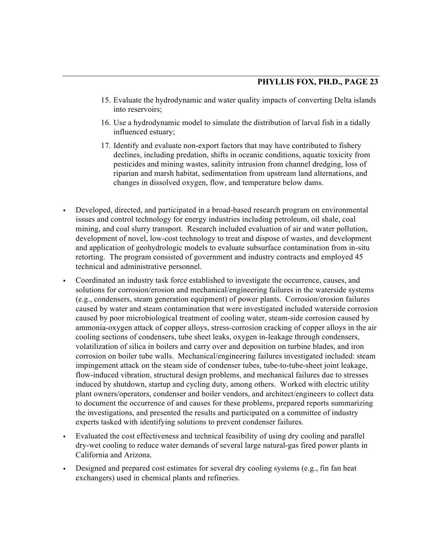- 15. Evaluate the hydrodynamic and water quality impacts of converting Delta islands into reservoirs;
- 16. Use a hydrodynamic model to simulate the distribution of larval fish in a tidally influenced estuary;
- 17. Identify and evaluate non-export factors that may have contributed to fishery declines, including predation, shifts in oceanic conditions, aquatic toxicity from pesticides and mining wastes, salinity intrusion from channel dredging, loss of riparian and marsh habitat, sedimentation from upstream land alternations, and changes in dissolved oxygen, flow, and temperature below dams.
- Developed, directed, and participated in a broad-based research program on environmental issues and control technology for energy industries including petroleum, oil shale, coal mining, and coal slurry transport. Research included evaluation of air and water pollution, development of novel, low-cost technology to treat and dispose of wastes, and development and application of geohydrologic models to evaluate subsurface contamination from in-situ retorting. The program consisted of government and industry contracts and employed 45 technical and administrative personnel.
- Coordinated an industry task force established to investigate the occurrence, causes, and solutions for corrosion/erosion and mechanical/engineering failures in the waterside systems (e.g., condensers, steam generation equipment) of power plants. Corrosion/erosion failures caused by water and steam contamination that were investigated included waterside corrosion caused by poor microbiological treatment of cooling water, steam-side corrosion caused by ammonia-oxygen attack of copper alloys, stress-corrosion cracking of copper alloys in the air cooling sections of condensers, tube sheet leaks, oxygen in-leakage through condensers, volatilization of silica in boilers and carry over and deposition on turbine blades, and iron corrosion on boiler tube walls. Mechanical/engineering failures investigated included: steam impingement attack on the steam side of condenser tubes, tube-to-tube-sheet joint leakage, flow-induced vibration, structural design problems, and mechanical failures due to stresses induced by shutdown, startup and cycling duty, among others. Worked with electric utility plant owners/operators, condenser and boiler vendors, and architect/engineers to collect data to document the occurrence of and causes for these problems, prepared reports summarizing the investigations, and presented the results and participated on a committee of industry experts tasked with identifying solutions to prevent condenser failures.
- Evaluated the cost effectiveness and technical feasibility of using dry cooling and parallel dry-wet cooling to reduce water demands of several large natural-gas fired power plants in California and Arizona.
- Designed and prepared cost estimates for several dry cooling systems (e.g., fin fan heat exchangers) used in chemical plants and refineries.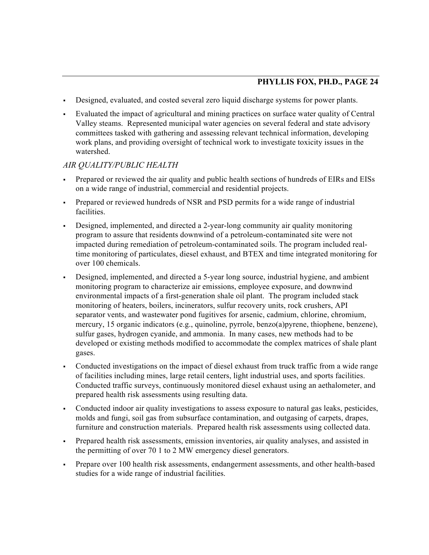- Designed, evaluated, and costed several zero liquid discharge systems for power plants.
- Evaluated the impact of agricultural and mining practices on surface water quality of Central Valley steams. Represented municipal water agencies on several federal and state advisory committees tasked with gathering and assessing relevant technical information, developing work plans, and providing oversight of technical work to investigate toxicity issues in the watershed.

### *AIR QUALITY/PUBLIC HEALTH*

- Prepared or reviewed the air quality and public health sections of hundreds of EIRs and EISs on a wide range of industrial, commercial and residential projects.
- Prepared or reviewed hundreds of NSR and PSD permits for a wide range of industrial facilities.
- Designed, implemented, and directed a 2-year-long community air quality monitoring program to assure that residents downwind of a petroleum-contaminated site were not impacted during remediation of petroleum-contaminated soils. The program included realtime monitoring of particulates, diesel exhaust, and BTEX and time integrated monitoring for over 100 chemicals.
- Designed, implemented, and directed a 5-year long source, industrial hygiene, and ambient monitoring program to characterize air emissions, employee exposure, and downwind environmental impacts of a first-generation shale oil plant. The program included stack monitoring of heaters, boilers, incinerators, sulfur recovery units, rock crushers, API separator vents, and wastewater pond fugitives for arsenic, cadmium, chlorine, chromium, mercury, 15 organic indicators (e.g., quinoline, pyrrole, benzo(a)pyrene, thiophene, benzene), sulfur gases, hydrogen cyanide, and ammonia. In many cases, new methods had to be developed or existing methods modified to accommodate the complex matrices of shale plant gases.
- Conducted investigations on the impact of diesel exhaust from truck traffic from a wide range of facilities including mines, large retail centers, light industrial uses, and sports facilities. Conducted traffic surveys, continuously monitored diesel exhaust using an aethalometer, and prepared health risk assessments using resulting data.
- Conducted indoor air quality investigations to assess exposure to natural gas leaks, pesticides, molds and fungi, soil gas from subsurface contamination, and outgasing of carpets, drapes, furniture and construction materials. Prepared health risk assessments using collected data.
- Prepared health risk assessments, emission inventories, air quality analyses, and assisted in the permitting of over 70 1 to 2 MW emergency diesel generators.
- Prepare over 100 health risk assessments, endangerment assessments, and other health-based studies for a wide range of industrial facilities.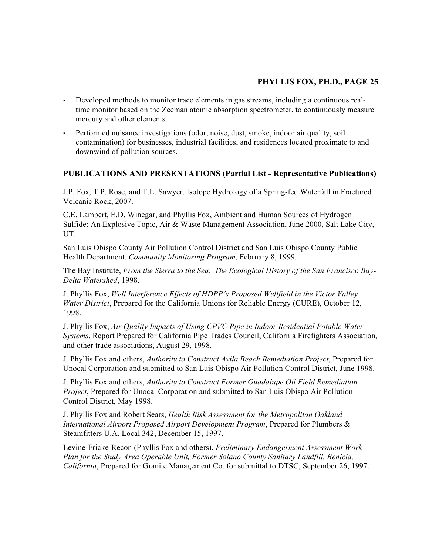- Developed methods to monitor trace elements in gas streams, including a continuous realtime monitor based on the Zeeman atomic absorption spectrometer, to continuously measure mercury and other elements.
- Performed nuisance investigations (odor, noise, dust, smoke, indoor air quality, soil contamination) for businesses, industrial facilities, and residences located proximate to and downwind of pollution sources.

### **PUBLICATIONS AND PRESENTATIONS (Partial List - Representative Publications)**

J.P. Fox, T.P. Rose, and T.L. Sawyer, Isotope Hydrology of a Spring-fed Waterfall in Fractured Volcanic Rock, 2007.

C.E. Lambert, E.D. Winegar, and Phyllis Fox, Ambient and Human Sources of Hydrogen Sulfide: An Explosive Topic, Air & Waste Management Association, June 2000, Salt Lake City, UT.

San Luis Obispo County Air Pollution Control District and San Luis Obispo County Public Health Department, *Community Monitoring Program,* February 8, 1999.

The Bay Institute, *From the Sierra to the Sea. The Ecological History of the San Francisco Bay-Delta Watershed*, 1998.

J. Phyllis Fox, *Well Interference Effects of HDPP's Proposed Wellfield in the Victor Valley Water District*, Prepared for the California Unions for Reliable Energy (CURE), October 12, 1998.

J. Phyllis Fox, *Air Quality Impacts of Using CPVC Pipe in Indoor Residential Potable Water Systems*, Report Prepared for California Pipe Trades Council, California Firefighters Association, and other trade associations, August 29, 1998.

J. Phyllis Fox and others, *Authority to Construct Avila Beach Remediation Project*, Prepared for Unocal Corporation and submitted to San Luis Obispo Air Pollution Control District, June 1998.

J. Phyllis Fox and others, *Authority to Construct Former Guadalupe Oil Field Remediation Project*, Prepared for Unocal Corporation and submitted to San Luis Obispo Air Pollution Control District, May 1998.

J. Phyllis Fox and Robert Sears, *Health Risk Assessment for the Metropolitan Oakland International Airport Proposed Airport Development Program*, Prepared for Plumbers & Steamfitters U.A. Local 342, December 15, 1997.

Levine-Fricke-Recon (Phyllis Fox and others), *Preliminary Endangerment Assessment Work Plan for the Study Area Operable Unit, Former Solano County Sanitary Landfill, Benicia, California*, Prepared for Granite Management Co. for submittal to DTSC, September 26, 1997.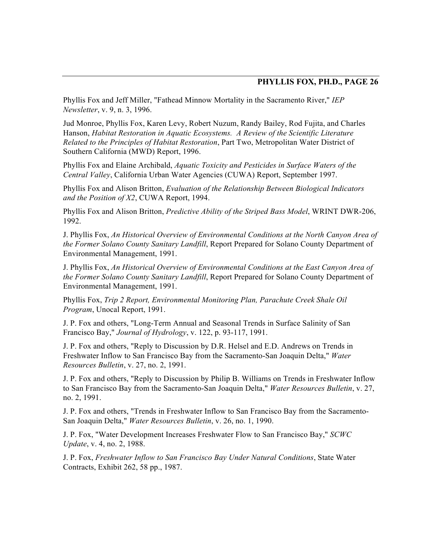Phyllis Fox and Jeff Miller, "Fathead Minnow Mortality in the Sacramento River," *IEP Newsletter*, v. 9, n. 3, 1996.

Jud Monroe, Phyllis Fox, Karen Levy, Robert Nuzum, Randy Bailey, Rod Fujita, and Charles Hanson, *Habitat Restoration in Aquatic Ecosystems. A Review of the Scientific Literature Related to the Principles of Habitat Restoration*, Part Two, Metropolitan Water District of Southern California (MWD) Report, 1996.

Phyllis Fox and Elaine Archibald, *Aquatic Toxicity and Pesticides in Surface Waters of the Central Valley*, California Urban Water Agencies (CUWA) Report, September 1997.

Phyllis Fox and Alison Britton, *Evaluation of the Relationship Between Biological Indicators and the Position of X2*, CUWA Report, 1994.

Phyllis Fox and Alison Britton, *Predictive Ability of the Striped Bass Model*, WRINT DWR-206, 1992.

J. Phyllis Fox, *An Historical Overview of Environmental Conditions at the North Canyon Area of the Former Solano County Sanitary Landfill*, Report Prepared for Solano County Department of Environmental Management, 1991.

J. Phyllis Fox, *An Historical Overview of Environmental Conditions at the East Canyon Area of the Former Solano County Sanitary Landfill*, Report Prepared for Solano County Department of Environmental Management, 1991.

Phyllis Fox, *Trip 2 Report, Environmental Monitoring Plan, Parachute Creek Shale Oil Program*, Unocal Report, 1991.

J. P. Fox and others, "Long-Term Annual and Seasonal Trends in Surface Salinity of San Francisco Bay," *Journal of Hydrology*, v. 122, p. 93-117, 1991.

J. P. Fox and others, "Reply to Discussion by D.R. Helsel and E.D. Andrews on Trends in Freshwater Inflow to San Francisco Bay from the Sacramento-San Joaquin Delta," *Water Resources Bulletin*, v. 27, no. 2, 1991.

J. P. Fox and others, "Reply to Discussion by Philip B. Williams on Trends in Freshwater Inflow to San Francisco Bay from the Sacramento-San Joaquin Delta," *Water Resources Bulletin*, v. 27, no. 2, 1991.

J. P. Fox and others, "Trends in Freshwater Inflow to San Francisco Bay from the Sacramento-San Joaquin Delta," *Water Resources Bulletin*, v. 26, no. 1, 1990.

J. P. Fox, "Water Development Increases Freshwater Flow to San Francisco Bay," *SCWC Update*, v. 4, no. 2, 1988.

J. P. Fox, *Freshwater Inflow to San Francisco Bay Under Natural Conditions*, State Water Contracts, Exhibit 262, 58 pp., 1987.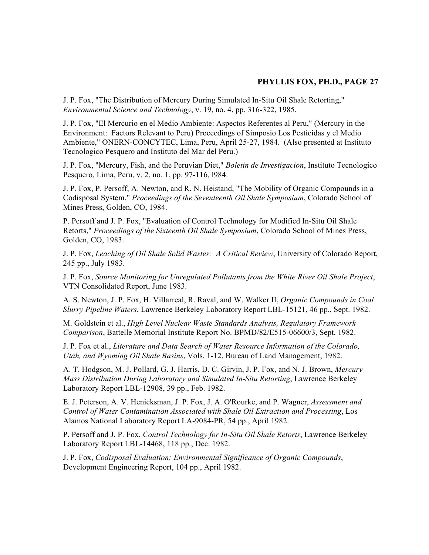J. P. Fox, "The Distribution of Mercury During Simulated In-Situ Oil Shale Retorting," *Environmental Science and Technology*, v. 19, no. 4, pp. 316-322, 1985.

J. P. Fox, "El Mercurio en el Medio Ambiente: Aspectos Referentes al Peru," (Mercury in the Environment: Factors Relevant to Peru) Proceedings of Simposio Los Pesticidas y el Medio Ambiente," ONERN-CONCYTEC, Lima, Peru, April 25-27, 1984. (Also presented at Instituto Tecnologico Pesquero and Instituto del Mar del Peru.)

J. P. Fox, "Mercury, Fish, and the Peruvian Diet," *Boletin de Investigacion*, Instituto Tecnologico Pesquero, Lima, Peru, v. 2, no. 1, pp. 97-116, l984.

J. P. Fox, P. Persoff, A. Newton, and R. N. Heistand, "The Mobility of Organic Compounds in a Codisposal System," *Proceedings of the Seventeenth Oil Shale Symposium*, Colorado School of Mines Press, Golden, CO, 1984.

P. Persoff and J. P. Fox, "Evaluation of Control Technology for Modified In-Situ Oil Shale Retorts," *Proceedings of the Sixteenth Oil Shale Symposium*, Colorado School of Mines Press, Golden, CO, 1983.

J. P. Fox, *Leaching of Oil Shale Solid Wastes: A Critical Review*, University of Colorado Report, 245 pp., July 1983.

J. P. Fox, *Source Monitoring for Unregulated Pollutants from the White River Oil Shale Project*, VTN Consolidated Report, June 1983.

A. S. Newton, J. P. Fox, H. Villarreal, R. Raval, and W. Walker II, *Organic Compounds in Coal Slurry Pipeline Waters*, Lawrence Berkeley Laboratory Report LBL-15121, 46 pp., Sept. 1982.

M. Goldstein et al., *High Level Nuclear Waste Standards Analysis, Regulatory Framework Comparison*, Battelle Memorial Institute Report No. BPMD/82/E515-06600/3, Sept. 1982.

J. P. Fox et al., *Literature and Data Search of Water Resource Information of the Colorado, Utah, and Wyoming Oil Shale Basins*, Vols. 1-12, Bureau of Land Management, 1982.

A. T. Hodgson, M. J. Pollard, G. J. Harris, D. C. Girvin, J. P. Fox, and N. J. Brown, *Mercury Mass Distribution During Laboratory and Simulated In-Situ Retorting*, Lawrence Berkeley Laboratory Report LBL-12908, 39 pp., Feb. 1982.

E. J. Peterson, A. V. Henicksman, J. P. Fox, J. A. O'Rourke, and P. Wagner, *Assessment and Control of Water Contamination Associated with Shale Oil Extraction and Processing*, Los Alamos National Laboratory Report LA-9084-PR, 54 pp., April 1982.

P. Persoff and J. P. Fox, *Control Technology for In-Situ Oil Shale Retorts*, Lawrence Berkeley Laboratory Report LBL-14468, 118 pp., Dec. 1982.

J. P. Fox, *Codisposal Evaluation: Environmental Significance of Organic Compounds*, Development Engineering Report, 104 pp., April 1982.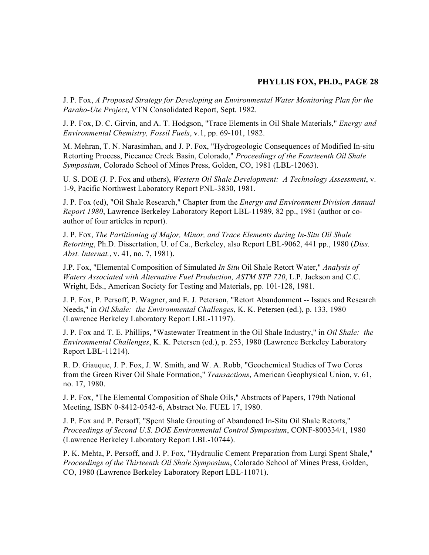J. P. Fox, *A Proposed Strategy for Developing an Environmental Water Monitoring Plan for the Paraho-Ute Project*, VTN Consolidated Report, Sept. 1982.

J. P. Fox, D. C. Girvin, and A. T. Hodgson, "Trace Elements in Oil Shale Materials," *Energy and Environmental Chemistry, Fossil Fuels*, v.1, pp. 69-101, 1982.

M. Mehran, T. N. Narasimhan, and J. P. Fox, "Hydrogeologic Consequences of Modified In-situ Retorting Process, Piceance Creek Basin, Colorado," *Proceedings of the Fourteenth Oil Shale Symposium*, Colorado School of Mines Press, Golden, CO, 1981 (LBL-12063).

U. S. DOE (J. P. Fox and others), *Western Oil Shale Development: A Technology Assessment*, v. 1-9, Pacific Northwest Laboratory Report PNL-3830, 1981.

J. P. Fox (ed), "Oil Shale Research," Chapter from the *Energy and Environment Division Annual Report 1980*, Lawrence Berkeley Laboratory Report LBL-11989, 82 pp., 1981 (author or coauthor of four articles in report).

J. P. Fox, *The Partitioning of Major, Minor, and Trace Elements during In-Situ Oil Shale Retorting*, Ph.D. Dissertation, U. of Ca., Berkeley, also Report LBL-9062, 441 pp., 1980 (*Diss. Abst. Internat.*, v. 41, no. 7, 1981).

J.P. Fox, "Elemental Composition of Simulated *In Situ* Oil Shale Retort Water," *Analysis of Waters Associated with Alternative Fuel Production, ASTM STP 720*, L.P. Jackson and C.C. Wright, Eds., American Society for Testing and Materials, pp. 101-128, 1981.

J. P. Fox, P. Persoff, P. Wagner, and E. J. Peterson, "Retort Abandonment -- Issues and Research Needs," in *Oil Shale: the Environmental Challenges*, K. K. Petersen (ed.), p. 133, 1980 (Lawrence Berkeley Laboratory Report LBL-11197).

J. P. Fox and T. E. Phillips, "Wastewater Treatment in the Oil Shale Industry," in *Oil Shale: the Environmental Challenges*, K. K. Petersen (ed.), p. 253, 1980 (Lawrence Berkeley Laboratory Report LBL-11214).

R. D. Giauque, J. P. Fox, J. W. Smith, and W. A. Robb, "Geochemical Studies of Two Cores from the Green River Oil Shale Formation," *Transactions*, American Geophysical Union, v. 61, no. 17, 1980.

J. P. Fox, "The Elemental Composition of Shale Oils," Abstracts of Papers, 179th National Meeting, ISBN 0-8412-0542-6, Abstract No. FUEL 17, 1980.

J. P. Fox and P. Persoff, "Spent Shale Grouting of Abandoned In-Situ Oil Shale Retorts," *Proceedings of Second U.S. DOE Environmental Control Symposium*, CONF-800334/1, 1980 (Lawrence Berkeley Laboratory Report LBL-10744).

P. K. Mehta, P. Persoff, and J. P. Fox, "Hydraulic Cement Preparation from Lurgi Spent Shale," *Proceedings of the Thirteenth Oil Shale Symposium*, Colorado School of Mines Press, Golden, CO, 1980 (Lawrence Berkeley Laboratory Report LBL-11071).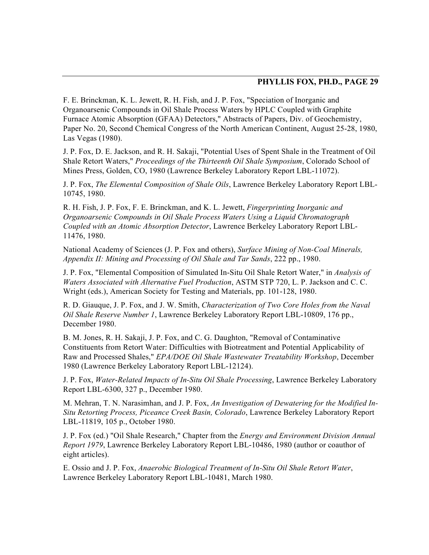F. E. Brinckman, K. L. Jewett, R. H. Fish, and J. P. Fox, "Speciation of Inorganic and Organoarsenic Compounds in Oil Shale Process Waters by HPLC Coupled with Graphite Furnace Atomic Absorption (GFAA) Detectors," Abstracts of Papers, Div. of Geochemistry, Paper No. 20, Second Chemical Congress of the North American Continent, August 25-28, 1980, Las Vegas (1980).

J. P. Fox, D. E. Jackson, and R. H. Sakaji, "Potential Uses of Spent Shale in the Treatment of Oil Shale Retort Waters," *Proceedings of the Thirteenth Oil Shale Symposium*, Colorado School of Mines Press, Golden, CO, 1980 (Lawrence Berkeley Laboratory Report LBL-11072).

J. P. Fox, *The Elemental Composition of Shale Oils*, Lawrence Berkeley Laboratory Report LBL-10745, 1980.

R. H. Fish, J. P. Fox, F. E. Brinckman, and K. L. Jewett, *Fingerprinting Inorganic and Organoarsenic Compounds in Oil Shale Process Waters Using a Liquid Chromatograph Coupled with an Atomic Absorption Detector*, Lawrence Berkeley Laboratory Report LBL-11476, 1980.

National Academy of Sciences (J. P. Fox and others), *Surface Mining of Non-Coal Minerals, Appendix II: Mining and Processing of Oil Shale and Tar Sands*, 222 pp., 1980.

J. P. Fox, "Elemental Composition of Simulated In-Situ Oil Shale Retort Water," in *Analysis of Waters Associated with Alternative Fuel Production*, ASTM STP 720, L. P. Jackson and C. C. Wright (eds.), American Society for Testing and Materials, pp. 101-128, 1980.

R. D. Giauque, J. P. Fox, and J. W. Smith, *Characterization of Two Core Holes from the Naval Oil Shale Reserve Number 1*, Lawrence Berkeley Laboratory Report LBL-10809, 176 pp., December 1980.

B. M. Jones, R. H. Sakaji, J. P. Fox, and C. G. Daughton, "Removal of Contaminative Constituents from Retort Water: Difficulties with Biotreatment and Potential Applicability of Raw and Processed Shales," *EPA/DOE Oil Shale Wastewater Treatability Workshop*, December 1980 (Lawrence Berkeley Laboratory Report LBL-12124).

J. P. Fox, *Water-Related Impacts of In-Situ Oil Shale Processing*, Lawrence Berkeley Laboratory Report LBL-6300, 327 p., December 1980.

M. Mehran, T. N. Narasimhan, and J. P. Fox, *An Investigation of Dewatering for the Modified In-Situ Retorting Process, Piceance Creek Basin, Colorado*, Lawrence Berkeley Laboratory Report LBL-11819, 105 p., October 1980.

J. P. Fox (ed.) "Oil Shale Research," Chapter from the *Energy and Environment Division Annual Report 1979*, Lawrence Berkeley Laboratory Report LBL-10486, 1980 (author or coauthor of eight articles).

E. Ossio and J. P. Fox, *Anaerobic Biological Treatment of In-Situ Oil Shale Retort Water*, Lawrence Berkeley Laboratory Report LBL-10481, March 1980.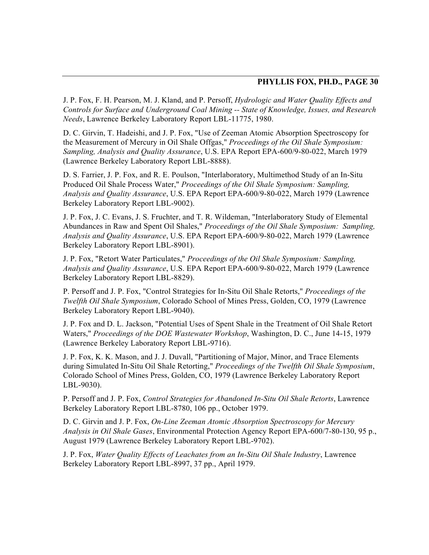J. P. Fox, F. H. Pearson, M. J. Kland, and P. Persoff, *Hydrologic and Water Quality Effects and Controls for Surface and Underground Coal Mining -- State of Knowledge, Issues, and Research Needs*, Lawrence Berkeley Laboratory Report LBL-11775, 1980.

D. C. Girvin, T. Hadeishi, and J. P. Fox, "Use of Zeeman Atomic Absorption Spectroscopy for the Measurement of Mercury in Oil Shale Offgas," *Proceedings of the Oil Shale Symposium: Sampling, Analysis and Quality Assurance*, U.S. EPA Report EPA-600/9-80-022, March 1979 (Lawrence Berkeley Laboratory Report LBL-8888).

D. S. Farrier, J. P. Fox, and R. E. Poulson, "Interlaboratory, Multimethod Study of an In-Situ Produced Oil Shale Process Water," *Proceedings of the Oil Shale Symposium: Sampling, Analysis and Quality Assurance*, U.S. EPA Report EPA-600/9-80-022, March 1979 (Lawrence Berkeley Laboratory Report LBL-9002).

J. P. Fox, J. C. Evans, J. S. Fruchter, and T. R. Wildeman, "Interlaboratory Study of Elemental Abundances in Raw and Spent Oil Shales," *Proceedings of the Oil Shale Symposium: Sampling, Analysis and Quality Assurance*, U.S. EPA Report EPA-600/9-80-022, March 1979 (Lawrence Berkeley Laboratory Report LBL-8901).

J. P. Fox, "Retort Water Particulates," *Proceedings of the Oil Shale Symposium: Sampling, Analysis and Quality Assurance*, U.S. EPA Report EPA-600/9-80-022, March 1979 (Lawrence Berkeley Laboratory Report LBL-8829).

P. Persoff and J. P. Fox, "Control Strategies for In-Situ Oil Shale Retorts," *Proceedings of the Twelfth Oil Shale Symposium*, Colorado School of Mines Press, Golden, CO, 1979 (Lawrence Berkeley Laboratory Report LBL-9040).

J. P. Fox and D. L. Jackson, "Potential Uses of Spent Shale in the Treatment of Oil Shale Retort Waters," *Proceedings of the DOE Wastewater Workshop*, Washington, D. C., June 14-15, 1979 (Lawrence Berkeley Laboratory Report LBL-9716).

J. P. Fox, K. K. Mason, and J. J. Duvall, "Partitioning of Major, Minor, and Trace Elements during Simulated In-Situ Oil Shale Retorting," *Proceedings of the Twelfth Oil Shale Symposium*, Colorado School of Mines Press, Golden, CO, 1979 (Lawrence Berkeley Laboratory Report LBL-9030).

P. Persoff and J. P. Fox, *Control Strategies for Abandoned In-Situ Oil Shale Retorts*, Lawrence Berkeley Laboratory Report LBL-8780, 106 pp., October 1979.

D. C. Girvin and J. P. Fox, *On-Line Zeeman Atomic Absorption Spectroscopy for Mercury Analysis in Oil Shale Gases*, Environmental Protection Agency Report EPA-600/7-80-130, 95 p., August 1979 (Lawrence Berkeley Laboratory Report LBL-9702).

J. P. Fox, *Water Quality Effects of Leachates from an In-Situ Oil Shale Industry*, Lawrence Berkeley Laboratory Report LBL-8997, 37 pp., April 1979.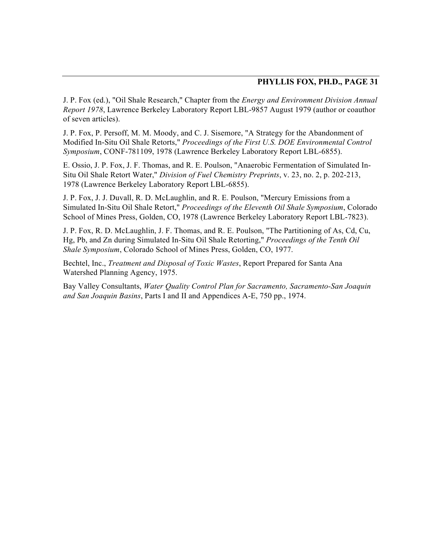J. P. Fox (ed.), "Oil Shale Research," Chapter from the *Energy and Environment Division Annual Report 1978*, Lawrence Berkeley Laboratory Report LBL-9857 August 1979 (author or coauthor of seven articles).

J. P. Fox, P. Persoff, M. M. Moody, and C. J. Sisemore, "A Strategy for the Abandonment of Modified In-Situ Oil Shale Retorts," *Proceedings of the First U.S. DOE Environmental Control Symposium*, CONF-781109, 1978 (Lawrence Berkeley Laboratory Report LBL-6855).

E. Ossio, J. P. Fox, J. F. Thomas, and R. E. Poulson, "Anaerobic Fermentation of Simulated In-Situ Oil Shale Retort Water," *Division of Fuel Chemistry Preprints*, v. 23, no. 2, p. 202-213, 1978 (Lawrence Berkeley Laboratory Report LBL-6855).

J. P. Fox, J. J. Duvall, R. D. McLaughlin, and R. E. Poulson, "Mercury Emissions from a Simulated In-Situ Oil Shale Retort," *Proceedings of the Eleventh Oil Shale Symposium*, Colorado School of Mines Press, Golden, CO, 1978 (Lawrence Berkeley Laboratory Report LBL-7823).

J. P. Fox, R. D. McLaughlin, J. F. Thomas, and R. E. Poulson, "The Partitioning of As, Cd, Cu, Hg, Pb, and Zn during Simulated In-Situ Oil Shale Retorting," *Proceedings of the Tenth Oil Shale Symposium*, Colorado School of Mines Press, Golden, CO, 1977.

Bechtel, Inc., *Treatment and Disposal of Toxic Wastes*, Report Prepared for Santa Ana Watershed Planning Agency, 1975.

Bay Valley Consultants, *Water Quality Control Plan for Sacramento, Sacramento-San Joaquin and San Joaquin Basins*, Parts I and II and Appendices A-E, 750 pp., 1974.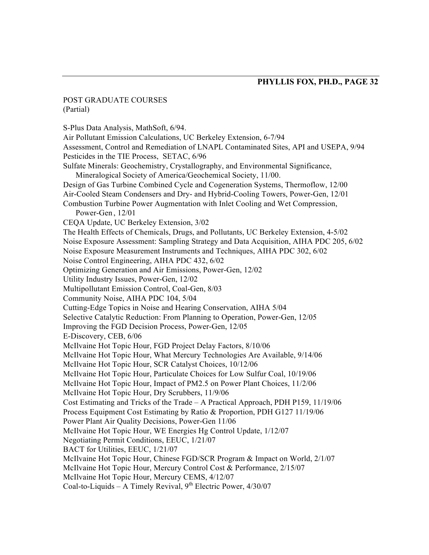#### POST GRADUATE COURSES (Partial)

S-Plus Data Analysis, MathSoft, 6/94. Air Pollutant Emission Calculations, UC Berkeley Extension, 6-7/94 Assessment, Control and Remediation of LNAPL Contaminated Sites, API and USEPA, 9/94 Pesticides in the TIE Process, SETAC, 6/96 Sulfate Minerals: Geochemistry, Crystallography, and Environmental Significance, Mineralogical Society of America/Geochemical Society, 11/00. Design of Gas Turbine Combined Cycle and Cogeneration Systems, Thermoflow, 12/00 Air-Cooled Steam Condensers and Dry- and Hybrid-Cooling Towers, Power-Gen, 12/01 Combustion Turbine Power Augmentation with Inlet Cooling and Wet Compression, Power-Gen , 12/01 CEQA Update, UC Berkeley Extension, 3/02 The Health Effects of Chemicals, Drugs, and Pollutants, UC Berkeley Extension, 4-5/02 Noise Exposure Assessment: Sampling Strategy and Data Acquisition, AIHA PDC 205, 6/02 Noise Exposure Measurement Instruments and Techniques, AIHA PDC 302, 6/02 Noise Control Engineering, AIHA PDC 432, 6/02 Optimizing Generation and Air Emissions, Power-Gen, 12/02 Utility Industry Issues, Power-Gen, 12/02 Multipollutant Emission Control, Coal-Gen, 8/03 Community Noise, AIHA PDC 104, 5/04 Cutting-Edge Topics in Noise and Hearing Conservation, AIHA 5/04 Selective Catalytic Reduction: From Planning to Operation, Power-Gen, 12/05 Improving the FGD Decision Process, Power-Gen, 12/05 E-Discovery, CEB, 6/06 McIlvaine Hot Topic Hour, FGD Project Delay Factors, 8/10/06 McIlvaine Hot Topic Hour, What Mercury Technologies Are Available, 9/14/06 McIlvaine Hot Topic Hour, SCR Catalyst Choices, 10/12/06 McIlvaine Hot Topic Hour, Particulate Choices for Low Sulfur Coal, 10/19/06 McIlvaine Hot Topic Hour, Impact of PM2.5 on Power Plant Choices, 11/2/06 McIlvaine Hot Topic Hour, Dry Scrubbers, 11/9/06 Cost Estimating and Tricks of the Trade – A Practical Approach, PDH P159, 11/19/06 Process Equipment Cost Estimating by Ratio & Proportion, PDH G127 11/19/06 Power Plant Air Quality Decisions, Power-Gen 11/06 McIlvaine Hot Topic Hour, WE Energies Hg Control Update, 1/12/07 Negotiating Permit Conditions, EEUC, 1/21/07 BACT for Utilities, EEUC, 1/21/07 McIlvaine Hot Topic Hour, Chinese FGD/SCR Program & Impact on World, 2/1/07 McIlvaine Hot Topic Hour, Mercury Control Cost & Performance, 2/15/07 McIlvaine Hot Topic Hour, Mercury CEMS, 4/12/07 Coal-to-Liquids – A Timely Revival, 9<sup>th</sup> Electric Power, 4/30/07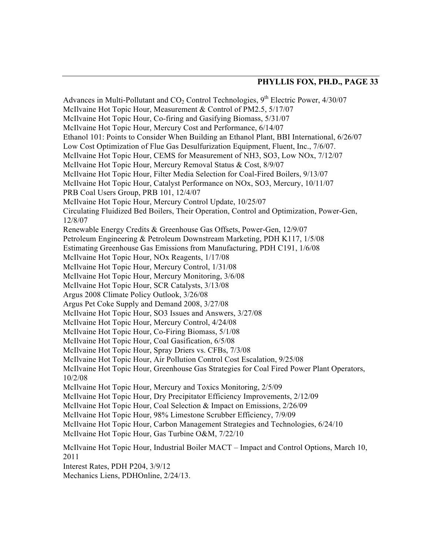Advances in Multi-Pollutant and  $CO<sub>2</sub>$  Control Technologies,  $9<sup>th</sup>$  Electric Power, 4/30/07 McIlvaine Hot Topic Hour, Measurement & Control of PM2.5, 5/17/07 McIlvaine Hot Topic Hour, Co-firing and Gasifying Biomass, 5/31/07 McIlvaine Hot Topic Hour, Mercury Cost and Performance, 6/14/07 Ethanol 101: Points to Consider When Building an Ethanol Plant, BBI International, 6/26/07 Low Cost Optimization of Flue Gas Desulfurization Equipment, Fluent, Inc., 7/6/07. McIlvaine Hot Topic Hour, CEMS for Measurement of NH3, SO3, Low NOx, 7/12/07 McIlvaine Hot Topic Hour, Mercury Removal Status & Cost, 8/9/07 McIlvaine Hot Topic Hour, Filter Media Selection for Coal-Fired Boilers, 9/13/07 McIlvaine Hot Topic Hour, Catalyst Performance on NOx, SO3, Mercury, 10/11/07 PRB Coal Users Group, PRB 101, 12/4/07 McIlvaine Hot Topic Hour, Mercury Control Update, 10/25/07 Circulating Fluidized Bed Boilers, Their Operation, Control and Optimization, Power-Gen, 12/8/07 Renewable Energy Credits & Greenhouse Gas Offsets, Power-Gen, 12/9/07 Petroleum Engineering & Petroleum Downstream Marketing, PDH K117, 1/5/08 Estimating Greenhouse Gas Emissions from Manufacturing, PDH C191, 1/6/08 McIlvaine Hot Topic Hour, NOx Reagents, 1/17/08 McIlvaine Hot Topic Hour, Mercury Control, 1/31/08 McIlvaine Hot Topic Hour, Mercury Monitoring, 3/6/08 McIlvaine Hot Topic Hour, SCR Catalysts, 3/13/08 Argus 2008 Climate Policy Outlook, 3/26/08 Argus Pet Coke Supply and Demand 2008, 3/27/08 McIlvaine Hot Topic Hour, SO3 Issues and Answers, 3/27/08 McIlvaine Hot Topic Hour, Mercury Control, 4/24/08 McIlvaine Hot Topic Hour, Co-Firing Biomass, 5/1/08 McIlvaine Hot Topic Hour, Coal Gasification, 6/5/08 McIlvaine Hot Topic Hour, Spray Driers vs. CFBs, 7/3/08 McIlvaine Hot Topic Hour, Air Pollution Control Cost Escalation, 9/25/08 McIlvaine Hot Topic Hour, Greenhouse Gas Strategies for Coal Fired Power Plant Operators, 10/2/08 McIlvaine Hot Topic Hour, Mercury and Toxics Monitoring, 2/5/09 McIlvaine Hot Topic Hour, Dry Precipitator Efficiency Improvements, 2/12/09 McIlvaine Hot Topic Hour, Coal Selection & Impact on Emissions, 2/26/09 McIlvaine Hot Topic Hour, 98% Limestone Scrubber Efficiency, 7/9/09 McIlvaine Hot Topic Hour, Carbon Management Strategies and Technologies, 6/24/10 McIlvaine Hot Topic Hour, Gas Turbine O&M, 7/22/10 McIlvaine Hot Topic Hour, Industrial Boiler MACT – Impact and Control Options, March 10, 2011

Interest Rates, PDH P204, 3/9/12

Mechanics Liens, PDHOnline, 2/24/13.